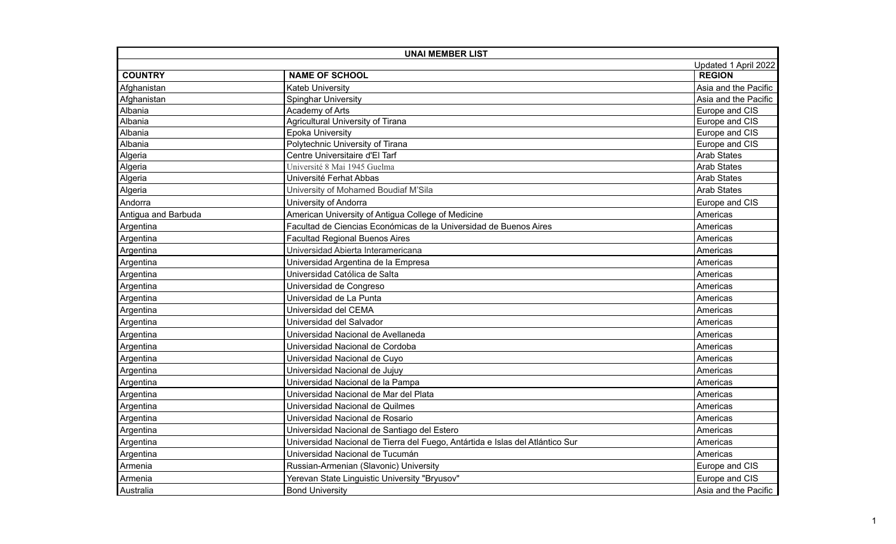| <b>UNAI MEMBER LIST</b> |                                                                               |                      |
|-------------------------|-------------------------------------------------------------------------------|----------------------|
| Updated 1 April 2022    |                                                                               |                      |
| <b>COUNTRY</b>          | <b>NAME OF SCHOOL</b>                                                         | <b>REGION</b>        |
| Afghanistan             | <b>Kateb University</b>                                                       | Asia and the Pacific |
| Afghanistan             | <b>Spinghar University</b>                                                    | Asia and the Pacific |
| Albania                 | Academy of Arts                                                               | Europe and CIS       |
| Albania                 | Agricultural University of Tirana                                             | Europe and CIS       |
| Albania                 | <b>Epoka University</b>                                                       | Europe and CIS       |
| Albania                 | Polytechnic University of Tirana                                              | Europe and CIS       |
| Algeria                 | Centre Universitaire d'El Tarf                                                | <b>Arab States</b>   |
| Algeria                 | Université 8 Mai 1945 Guelma                                                  | <b>Arab States</b>   |
| Algeria                 | Université Ferhat Abbas                                                       | <b>Arab States</b>   |
| Algeria                 | University of Mohamed Boudiaf M'Sila                                          | <b>Arab States</b>   |
| Andorra                 | University of Andorra                                                         | Europe and CIS       |
| Antigua and Barbuda     | American University of Antigua College of Medicine                            | Americas             |
| Argentina               | Facultad de Ciencias Económicas de la Universidad de Buenos Aires             | Americas             |
| Argentina               | <b>Facultad Regional Buenos Aires</b>                                         | Americas             |
| Argentina               | Universidad Abierta Interamericana                                            | Americas             |
| Argentina               | Universidad Argentina de la Empresa                                           | Americas             |
| Argentina               | Universidad Católica de Salta                                                 | Americas             |
| Argentina               | Universidad de Congreso                                                       | Americas             |
| Argentina               | Universidad de La Punta                                                       | Americas             |
| Argentina               | Universidad del CEMA                                                          | Americas             |
| Argentina               | Universidad del Salvador                                                      | Americas             |
| Argentina               | Universidad Nacional de Avellaneda                                            | Americas             |
| Argentina               | Universidad Nacional de Cordoba                                               | Americas             |
| Argentina               | Universidad Nacional de Cuyo                                                  | Americas             |
| Argentina               | Universidad Nacional de Jujuy                                                 | Americas             |
| Argentina               | Universidad Nacional de la Pampa                                              | Americas             |
| Argentina               | Universidad Nacional de Mar del Plata                                         | Americas             |
| Argentina               | Universidad Nacional de Quilmes                                               | Americas             |
| Argentina               | Universidad Nacional de Rosario                                               | Americas             |
| Argentina               | Universidad Nacional de Santiago del Estero                                   | Americas             |
| Argentina               | Universidad Nacional de Tierra del Fuego, Antártida e Islas del Atlántico Sur | Americas             |
| Argentina               | Universidad Nacional de Tucumán                                               | Americas             |
| Armenia                 | Russian-Armenian (Slavonic) University                                        | Europe and CIS       |
| Armenia                 | Yerevan State Linguistic University "Bryusov"                                 | Europe and CIS       |
| Australia               | <b>Bond University</b>                                                        | Asia and the Pacific |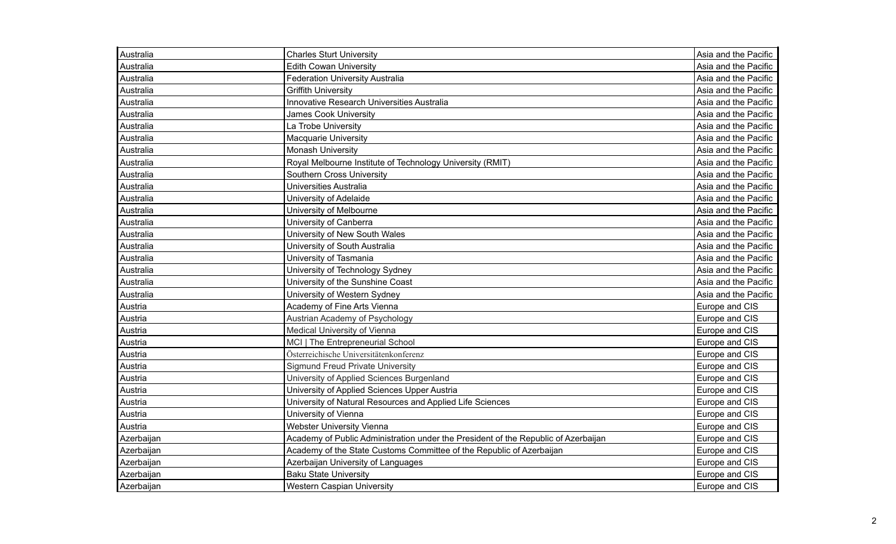| Australia  | <b>Charles Sturt University</b>                                                    | Asia and the Pacific |
|------------|------------------------------------------------------------------------------------|----------------------|
| Australia  | <b>Edith Cowan University</b>                                                      | Asia and the Pacific |
| Australia  | <b>Federation University Australia</b>                                             | Asia and the Pacific |
| Australia  | <b>Griffith University</b>                                                         | Asia and the Pacific |
| Australia  | Innovative Research Universities Australia                                         | Asia and the Pacific |
| Australia  | <b>James Cook University</b>                                                       | Asia and the Pacific |
| Australia  | La Trobe University                                                                | Asia and the Pacific |
| Australia  | <b>Macquarie University</b>                                                        | Asia and the Pacific |
| Australia  | <b>Monash University</b>                                                           | Asia and the Pacific |
| Australia  | Royal Melbourne Institute of Technology University (RMIT)                          | Asia and the Pacific |
| Australia  | <b>Southern Cross University</b>                                                   | Asia and the Pacific |
| Australia  | Universities Australia                                                             | Asia and the Pacific |
| Australia  | University of Adelaide                                                             | Asia and the Pacific |
| Australia  | University of Melbourne                                                            | Asia and the Pacific |
| Australia  | University of Canberra                                                             | Asia and the Pacific |
| Australia  | University of New South Wales                                                      | Asia and the Pacific |
| Australia  | University of South Australia                                                      | Asia and the Pacific |
| Australia  | University of Tasmania                                                             | Asia and the Pacific |
| Australia  | University of Technology Sydney                                                    | Asia and the Pacific |
| Australia  | University of the Sunshine Coast                                                   | Asia and the Pacific |
| Australia  | University of Western Sydney                                                       | Asia and the Pacific |
| Austria    | Academy of Fine Arts Vienna                                                        | Europe and CIS       |
| Austria    | Austrian Academy of Psychology                                                     | Europe and CIS       |
| Austria    | Medical University of Vienna                                                       | Europe and CIS       |
| Austria    | MCI   The Entrepreneurial School                                                   | Europe and CIS       |
| Austria    | Österreichische Universitätenkonferenz                                             | Europe and CIS       |
| Austria    | <b>Sigmund Freud Private University</b>                                            | Europe and CIS       |
| Austria    | University of Applied Sciences Burgenland                                          | Europe and CIS       |
| Austria    | University of Applied Sciences Upper Austria                                       | Europe and CIS       |
| Austria    | University of Natural Resources and Applied Life Sciences                          | Europe and CIS       |
| Austria    | University of Vienna                                                               | Europe and CIS       |
| Austria    | Webster University Vienna                                                          | Europe and CIS       |
| Azerbaijan | Academy of Public Administration under the President of the Republic of Azerbaijan | Europe and CIS       |
| Azerbaijan | Academy of the State Customs Committee of the Republic of Azerbaijan               | Europe and CIS       |
| Azerbaijan | Azerbaijan University of Languages                                                 | Europe and CIS       |
| Azerbaijan | <b>Baku State University</b>                                                       | Europe and CIS       |
| Azerbaijan | <b>Western Caspian University</b>                                                  | Europe and CIS       |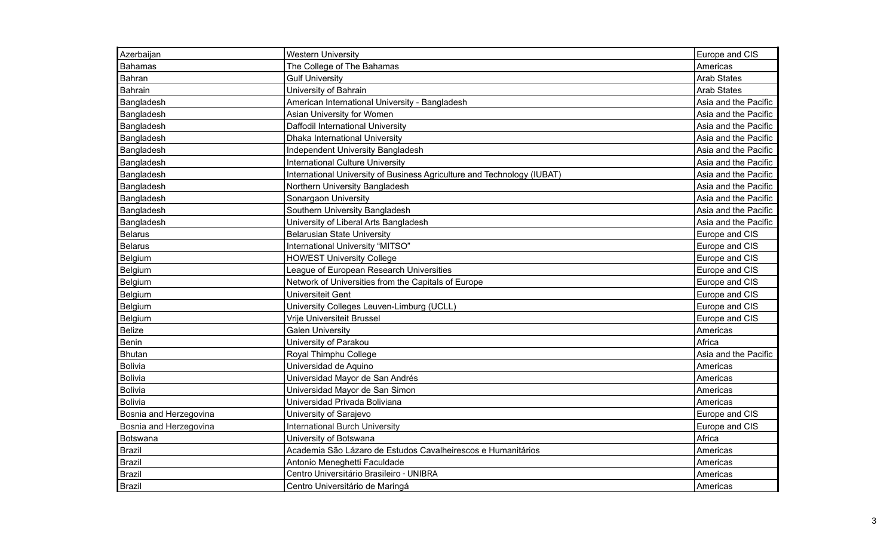| Azerbaijan             | <b>Western University</b>                                               | Europe and CIS       |
|------------------------|-------------------------------------------------------------------------|----------------------|
| <b>Bahamas</b>         | The College of The Bahamas                                              | Americas             |
| Bahran                 | <b>Gulf University</b>                                                  | <b>Arab States</b>   |
| Bahrain                | University of Bahrain                                                   | <b>Arab States</b>   |
| Bangladesh             | American International University - Bangladesh                          | Asia and the Pacific |
| Bangladesh             | Asian University for Women                                              | Asia and the Pacific |
| Bangladesh             | Daffodil International University                                       | Asia and the Pacific |
| Bangladesh             | Dhaka International University                                          | Asia and the Pacific |
| Bangladesh             | <b>Independent University Bangladesh</b>                                | Asia and the Pacific |
| Bangladesh             | <b>International Culture University</b>                                 | Asia and the Pacific |
| Bangladesh             | International University of Business Agriculture and Technology (IUBAT) | Asia and the Pacific |
| Bangladesh             | Northern University Bangladesh                                          | Asia and the Pacific |
| Bangladesh             | Sonargaon University                                                    | Asia and the Pacific |
| Bangladesh             | Southern University Bangladesh                                          | Asia and the Pacific |
| Bangladesh             | University of Liberal Arts Bangladesh                                   | Asia and the Pacific |
| <b>Belarus</b>         | <b>Belarusian State University</b>                                      | Europe and CIS       |
| <b>Belarus</b>         | International University "MITSO"                                        | Europe and CIS       |
| Belgium                | <b>HOWEST University College</b>                                        | Europe and CIS       |
| Belgium                | League of European Research Universities                                | Europe and CIS       |
| Belgium                | Network of Universities from the Capitals of Europe                     | Europe and CIS       |
| Belgium                | <b>Universiteit Gent</b>                                                | Europe and CIS       |
| Belgium                | University Colleges Leuven-Limburg (UCLL)                               | Europe and CIS       |
| Belgium                | Vrije Universiteit Brussel                                              | Europe and CIS       |
| <b>Belize</b>          | <b>Galen University</b>                                                 | Americas             |
| Benin                  | University of Parakou                                                   | Africa               |
| <b>Bhutan</b>          | Royal Thimphu College                                                   | Asia and the Pacific |
| <b>Bolivia</b>         | Universidad de Aquino                                                   | Americas             |
| <b>Bolivia</b>         | Universidad Mayor de San Andrés                                         | Americas             |
| Bolivia                | Universidad Mayor de San Simon                                          | Americas             |
| <b>Bolivia</b>         | Universidad Privada Boliviana                                           | Americas             |
| Bosnia and Herzegovina | University of Sarajevo                                                  | Europe and CIS       |
| Bosnia and Herzegovina | <b>International Burch University</b>                                   | Europe and CIS       |
| Botswana               | University of Botswana                                                  | Africa               |
| <b>Brazil</b>          | Academia São Lázaro de Estudos Cavalheirescos e Humanitários            | Americas             |
| <b>Brazil</b>          | Antonio Meneghetti Faculdade                                            | Americas             |
| <b>Brazil</b>          | Centro Universitário Brasileiro - UNIBRA                                | Americas             |
| Brazil                 | Centro Universitário de Maringá                                         | Americas             |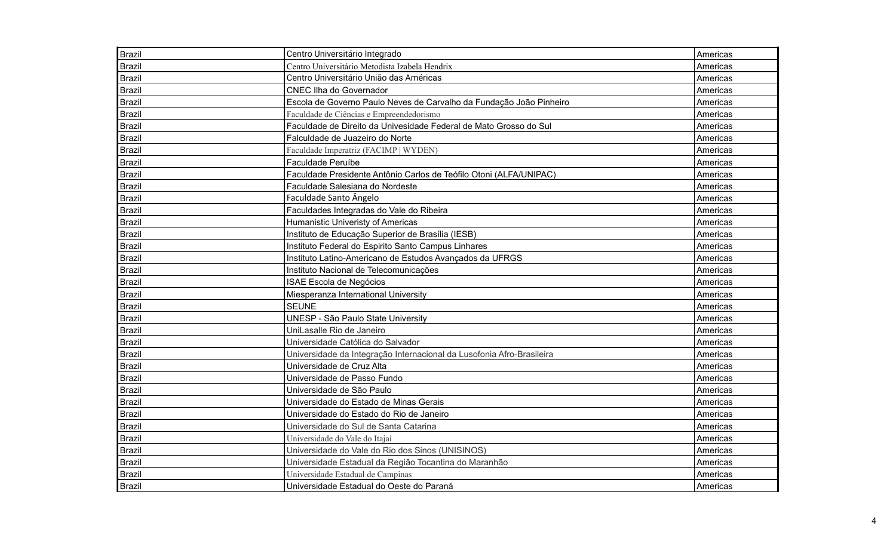| <b>Brazil</b> | Centro Universitário Integrado                                        | Americas |
|---------------|-----------------------------------------------------------------------|----------|
| <b>Brazil</b> | Centro Universitário Metodista Izabela Hendrix                        | Americas |
| <b>Brazil</b> | Centro Universitário União das Américas                               | Americas |
| <b>Brazil</b> | <b>CNEC IIha do Governador</b>                                        | Americas |
| <b>Brazil</b> | Escola de Governo Paulo Neves de Carvalho da Fundação João Pinheiro   | Americas |
| <b>Brazil</b> | Faculdade de Ciências e Empreendedorismo                              | Americas |
| <b>Brazil</b> | Faculdade de Direito da Univesidade Federal de Mato Grosso do Sul     | Americas |
| <b>Brazil</b> | Falculdade de Juazeiro do Norte                                       | Americas |
| <b>Brazil</b> | Faculdade Imperatriz (FACIMP   WYDEN)                                 | Americas |
| <b>Brazil</b> | Faculdade Peruíbe                                                     | Americas |
| <b>Brazil</b> | Faculdade Presidente Antônio Carlos de Teófilo Otoni (ALFA/UNIPAC)    | Americas |
| <b>Brazil</b> | Faculdade Salesiana do Nordeste                                       | Americas |
| <b>Brazil</b> | Faculdade Santo Ângelo                                                | Americas |
| <b>Brazil</b> | Faculdades Integradas do Vale do Ribeira                              | Americas |
| <b>Brazil</b> | Humanistic Univeristy of Americas                                     | Americas |
| <b>Brazil</b> | Instituto de Educação Superior de Brasília (IESB)                     | Americas |
| <b>Brazil</b> | Instituto Federal do Espirito Santo Campus Linhares                   | Americas |
| <b>Brazil</b> | Instituto Latino-Americano de Estudos Avançados da UFRGS              | Americas |
| <b>Brazil</b> | Instituto Nacional de Telecomunicações                                | Americas |
| <b>Brazil</b> | ISAE Escola de Negócios                                               | Americas |
| <b>Brazil</b> | Miesperanza International University                                  | Americas |
| <b>Brazil</b> | <b>SEUNE</b>                                                          | Americas |
| <b>Brazil</b> | UNESP - São Paulo State University                                    | Americas |
| <b>Brazil</b> | UniLasalle Rio de Janeiro                                             | Americas |
| Brazil        | Universidade Católica do Salvador                                     | Americas |
| Brazil        | Universidade da Integração Internacional da Lusofonia Afro-Brasileira | Americas |
| Brazil        | Universidade de Cruz Alta                                             | Americas |
| <b>Brazil</b> | Universidade de Passo Fundo                                           | Americas |
| Brazil        | Universidade de São Paulo                                             | Americas |
| Brazil        | Universidade do Estado de Minas Gerais                                | Americas |
| <b>Brazil</b> | Universidade do Estado do Rio de Janeiro                              | Americas |
| <b>Brazil</b> | Universidade do Sul de Santa Catarina                                 | Americas |
| Brazil        | Universidade do Vale do Itajaí                                        | Americas |
| <b>Brazil</b> | Universidade do Vale do Rio dos Sinos (UNISINOS)                      | Americas |
| <b>Brazil</b> | Universidade Estadual da Região Tocantina do Maranhão                 | Americas |
| <b>Brazil</b> | Universidade Estadual de Campinas                                     | Americas |
| Brazil        | Universidade Estadual do Oeste do Paraná                              | Americas |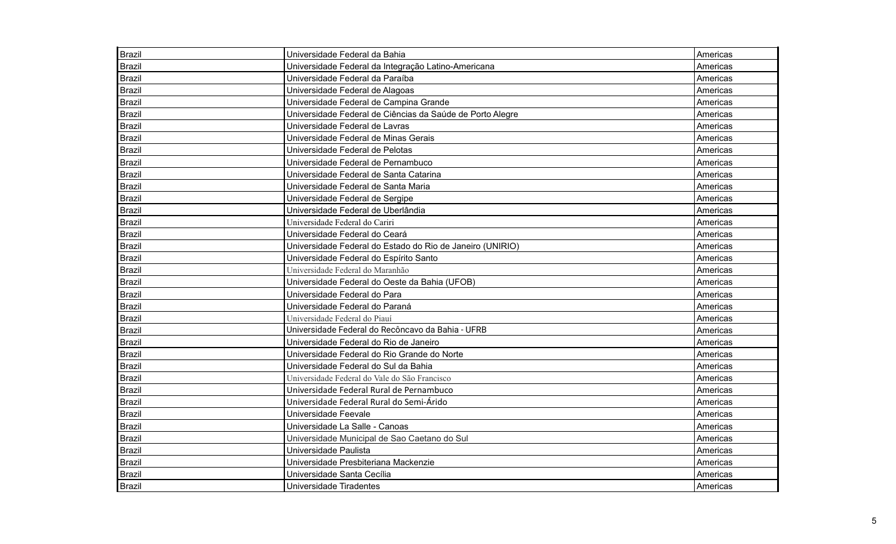| Brazil        | Universidade Federal da Bahia                             | Americas |
|---------------|-----------------------------------------------------------|----------|
| <b>Brazil</b> | Universidade Federal da Integração Latino-Americana       | Americas |
| <b>Brazil</b> | Universidade Federal da Paraíba                           | Americas |
| <b>Brazil</b> | Universidade Federal de Alagoas                           | Americas |
| <b>Brazil</b> | Universidade Federal de Campina Grande                    | Americas |
| <b>Brazil</b> | Universidade Federal de Ciências da Saúde de Porto Alegre | Americas |
| Brazil        | Universidade Federal de Lavras                            | Americas |
| <b>Brazil</b> | Universidade Federal de Minas Gerais                      | Americas |
| <b>Brazil</b> | Universidade Federal de Pelotas                           | Americas |
| <b>Brazil</b> | Universidade Federal de Pernambuco                        | Americas |
| <b>Brazil</b> | Universidade Federal de Santa Catarina                    | Americas |
| <b>Brazil</b> | Universidade Federal de Santa Maria                       | Americas |
| <b>Brazil</b> | Universidade Federal de Sergipe                           | Americas |
| <b>Brazil</b> | Universidade Federal de Uberlândia                        | Americas |
| <b>Brazil</b> | Universidade Federal do Cariri                            | Americas |
| <b>Brazil</b> | Universidade Federal do Ceará                             | Americas |
| <b>Brazil</b> | Universidade Federal do Estado do Rio de Janeiro (UNIRIO) | Americas |
| <b>Brazil</b> | Universidade Federal do Espírito Santo                    | Americas |
| <b>Brazil</b> | Universidade Federal do Maranhão                          | Americas |
| <b>Brazil</b> | Universidade Federal do Oeste da Bahia (UFOB)             | Americas |
| <b>Brazil</b> | Universidade Federal do Para                              | Americas |
| <b>Brazil</b> | Universidade Federal do Paraná                            | Americas |
| <b>Brazil</b> | Universidade Federal do Piauí                             | Americas |
| <b>Brazil</b> | Universidade Federal do Recôncavo da Bahia - UFRB         | Americas |
| <b>Brazil</b> | Universidade Federal do Rio de Janeiro                    | Americas |
| <b>Brazil</b> | Universidade Federal do Rio Grande do Norte               | Americas |
| <b>Brazil</b> | Universidade Federal do Sul da Bahia                      | Americas |
| <b>Brazil</b> | Universidade Federal do Vale do São Francisco             | Americas |
| Brazil        | Universidade Federal Rural de Pernambuco                  | Americas |
| <b>Brazil</b> | Universidade Federal Rural do Semi-Árido                  | Americas |
| <b>Brazil</b> | Universidade Feevale                                      | Americas |
| Brazil        | Universidade La Salle - Canoas                            | Americas |
| Brazil        | Universidade Municipal de Sao Caetano do Sul              | Americas |
| <b>Brazil</b> | Universidade Paulista                                     | Americas |
| Brazil        | Universidade Presbiteriana Mackenzie                      | Americas |
| <b>Brazil</b> | Universidade Santa Cecília                                | Americas |
| Brazil        | Universidade Tiradentes                                   | Americas |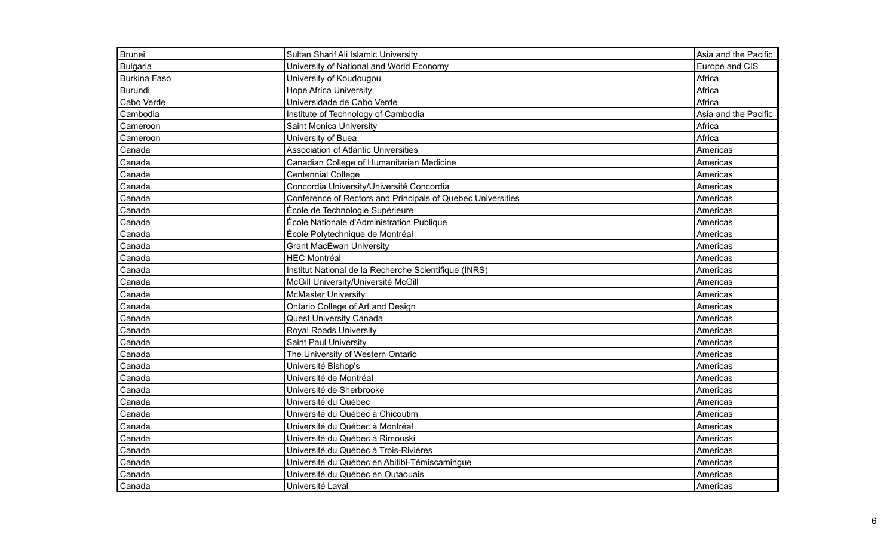| <b>Brunei</b>       | Sultan Sharif Ali Islamic University                        | Asia and the Pacific |
|---------------------|-------------------------------------------------------------|----------------------|
| <b>Bulgaria</b>     | University of National and World Economy                    | Europe and CIS       |
| <b>Burkina Faso</b> | University of Koudougou                                     | Africa               |
| Burundi             | <b>Hope Africa University</b>                               | Africa               |
| Cabo Verde          | Universidade de Cabo Verde                                  | Africa               |
| Cambodia            | Institute of Technology of Cambodia                         | Asia and the Pacific |
| Cameroon            | Saint Monica University                                     | Africa               |
| Cameroon            | University of Buea                                          | Africa               |
| Canada              | <b>Association of Atlantic Universities</b>                 | Americas             |
| Canada              | Canadian College of Humanitarian Medicine                   | Americas             |
| Canada              | <b>Centennial College</b>                                   | Americas             |
| Canada              | Concordia University/Université Concordia                   | Americas             |
| Canada              | Conference of Rectors and Principals of Quebec Universities | Americas             |
| Canada              | École de Technologie Supérieure                             | Americas             |
| Canada              | École Nationale d'Administration Publique                   | Americas             |
| Canada              | École Polytechnique de Montréal                             | Americas             |
| Canada              | <b>Grant MacEwan University</b>                             | Americas             |
| Canada              | <b>HEC Montréal</b>                                         | Americas             |
| Canada              | Institut National de la Recherche Scientifique (INRS)       | Americas             |
| Canada              | McGill University/Université McGill                         | Americas             |
| Canada              | <b>McMaster University</b>                                  | Americas             |
| Canada              | Ontario College of Art and Design                           | Americas             |
| Canada              | <b>Quest University Canada</b>                              | Americas             |
| Canada              | <b>Royal Roads University</b>                               | Americas             |
| Canada              | <b>Saint Paul University</b>                                | Americas             |
| Canada              | The University of Western Ontario                           | Americas             |
| Canada              | Université Bishop's                                         | Americas             |
| Canada              | Université de Montréal                                      | Americas             |
| Canada              | Université de Sherbrooke                                    | Americas             |
| Canada              | Université du Québec                                        | Americas             |
| Canada              | Université du Québec à Chicoutim                            | Americas             |
| Canada              | Université du Québec à Montréal                             | Americas             |
| Canada              | Université du Québec à Rimouski                             | Americas             |
| Canada              | Université du Québec à Trois-Rivières                       | Americas             |
| Canada              | Université du Québec en Abitibi-Témiscamingue               | Americas             |
| Canada              | Université du Québec en Outaouais                           | Americas             |
| Canada              | Université Laval                                            | Americas             |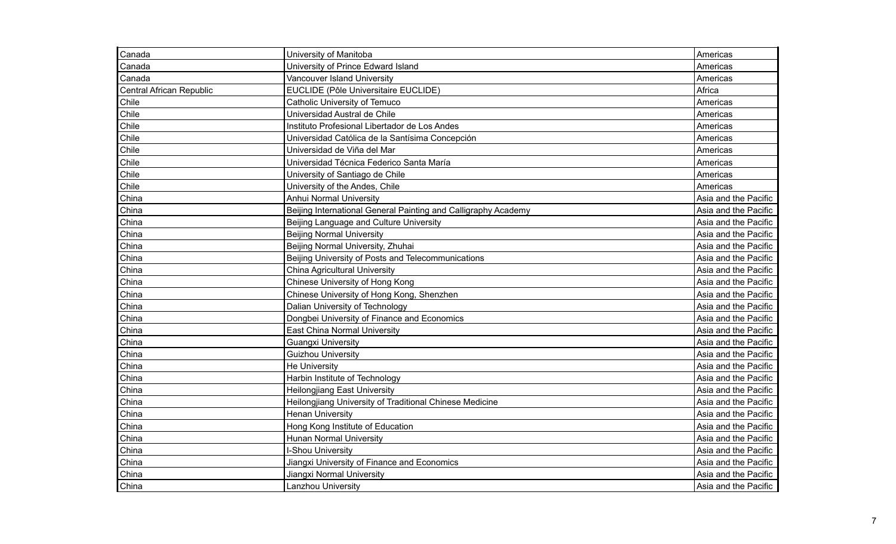| Canada                          | University of Manitoba                                         | Americas             |
|---------------------------------|----------------------------------------------------------------|----------------------|
| Canada                          | University of Prince Edward Island                             | Americas             |
| Canada                          | Vancouver Island University                                    | Americas             |
| <b>Central African Republic</b> | EUCLIDE (Pôle Universitaire EUCLIDE)                           | Africa               |
| Chile                           | <b>Catholic University of Temuco</b>                           | Americas             |
| Chile                           | Universidad Austral de Chile                                   | Americas             |
| Chile                           | Instituto Profesional Libertador de Los Andes                  | Americas             |
| Chile                           | Universidad Católica de la Santísima Concepción                | Americas             |
| Chile                           | Universidad de Viña del Mar                                    | Americas             |
| Chile                           | Universidad Técnica Federico Santa María                       | Americas             |
| Chile                           | University of Santiago de Chile                                | Americas             |
| Chile                           | University of the Andes, Chile                                 | Americas             |
| China                           | Anhui Normal University                                        | Asia and the Pacific |
| China                           | Beijing International General Painting and Calligraphy Academy | Asia and the Pacific |
| China                           | Beijing Language and Culture University                        | Asia and the Pacific |
| China                           | <b>Beijing Normal University</b>                               | Asia and the Pacific |
| China                           | Beijing Normal University, Zhuhai                              | Asia and the Pacific |
| China                           | Beijing University of Posts and Telecommunications             | Asia and the Pacific |
| China                           | <b>China Agricultural University</b>                           | Asia and the Pacific |
| China                           | Chinese University of Hong Kong                                | Asia and the Pacific |
| China                           | Chinese University of Hong Kong, Shenzhen                      | Asia and the Pacific |
| China                           | Dalian University of Technology                                | Asia and the Pacific |
| China                           | Dongbei University of Finance and Economics                    | Asia and the Pacific |
| China                           | <b>East China Normal University</b>                            | Asia and the Pacific |
| China                           | <b>Guangxi University</b>                                      | Asia and the Pacific |
| China                           | <b>Guizhou University</b>                                      | Asia and the Pacific |
| China                           | <b>He University</b>                                           | Asia and the Pacific |
| China                           | Harbin Institute of Technology                                 | Asia and the Pacific |
| China                           | <b>Heilongjiang East University</b>                            | Asia and the Pacific |
| China                           | Heilongjiang University of Traditional Chinese Medicine        | Asia and the Pacific |
| China                           | <b>Henan University</b>                                        | Asia and the Pacific |
| China                           | Hong Kong Institute of Education                               | Asia and the Pacific |
| China                           | <b>Hunan Normal University</b>                                 | Asia and the Pacific |
| China                           | I-Shou University                                              | Asia and the Pacific |
| China                           | Jiangxi University of Finance and Economics                    | Asia and the Pacific |
| China                           | Jiangxi Normal University                                      | Asia and the Pacific |
| China                           | Lanzhou University                                             | Asia and the Pacific |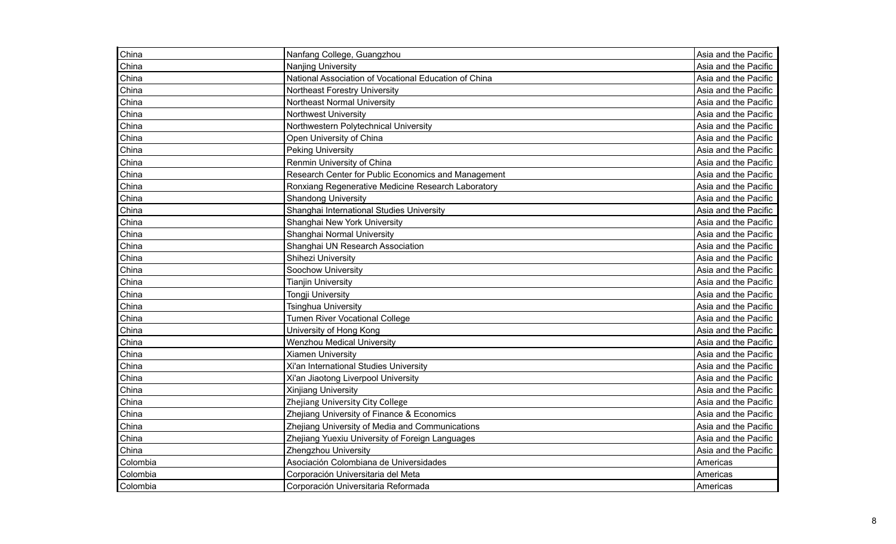| China    | Nanfang College, Guangzhou                            | Asia and the Pacific |
|----------|-------------------------------------------------------|----------------------|
| China    | <b>Nanjing University</b>                             | Asia and the Pacific |
| China    | National Association of Vocational Education of China | Asia and the Pacific |
| China    | <b>Northeast Forestry University</b>                  | Asia and the Pacific |
| China    | <b>Northeast Normal University</b>                    | Asia and the Pacific |
| China    | <b>Northwest University</b>                           | Asia and the Pacific |
| China    | Northwestern Polytechnical University                 | Asia and the Pacific |
| China    | Open University of China                              | Asia and the Pacific |
| China    | <b>Peking University</b>                              | Asia and the Pacific |
| China    | Renmin University of China                            | Asia and the Pacific |
| China    | Research Center for Public Economics and Management   | Asia and the Pacific |
| China    | Ronxiang Regenerative Medicine Research Laboratory    | Asia and the Pacific |
| China    | <b>Shandong University</b>                            | Asia and the Pacific |
| China    | Shanghai International Studies University             | Asia and the Pacific |
| China    | Shanghai New York University                          | Asia and the Pacific |
| China    | Shanghai Normal University                            | Asia and the Pacific |
| China    | Shanghai UN Research Association                      | Asia and the Pacific |
| China    | Shihezi University                                    | Asia and the Pacific |
| China    | Soochow University                                    | Asia and the Pacific |
| China    | <b>Tianjin University</b>                             | Asia and the Pacific |
| China    | <b>Tongji University</b>                              | Asia and the Pacific |
| China    | Tsinghua University                                   | Asia and the Pacific |
| China    | <b>Tumen River Vocational College</b>                 | Asia and the Pacific |
| China    | University of Hong Kong                               | Asia and the Pacific |
| China    | <b>Wenzhou Medical University</b>                     | Asia and the Pacific |
| China    | <b>Xiamen University</b>                              | Asia and the Pacific |
| China    | Xi'an International Studies University                | Asia and the Pacific |
| China    | Xi'an Jiaotong Liverpool University                   | Asia and the Pacific |
| China    | <b>Xinjiang University</b>                            | Asia and the Pacific |
| China    | Zhejiang University City College                      | Asia and the Pacific |
| China    | Zhejiang University of Finance & Economics            | Asia and the Pacific |
| China    | Zhejiang University of Media and Communications       | Asia and the Pacific |
| China    | Zhejiang Yuexiu University of Foreign Languages       | Asia and the Pacific |
| China    | Zhengzhou University                                  | Asia and the Pacific |
| Colombia | Asociación Colombiana de Universidades                | Americas             |
| Colombia | Corporación Universitaria del Meta                    | Americas             |
| Colombia | Corporación Universitaria Reformada                   | Americas             |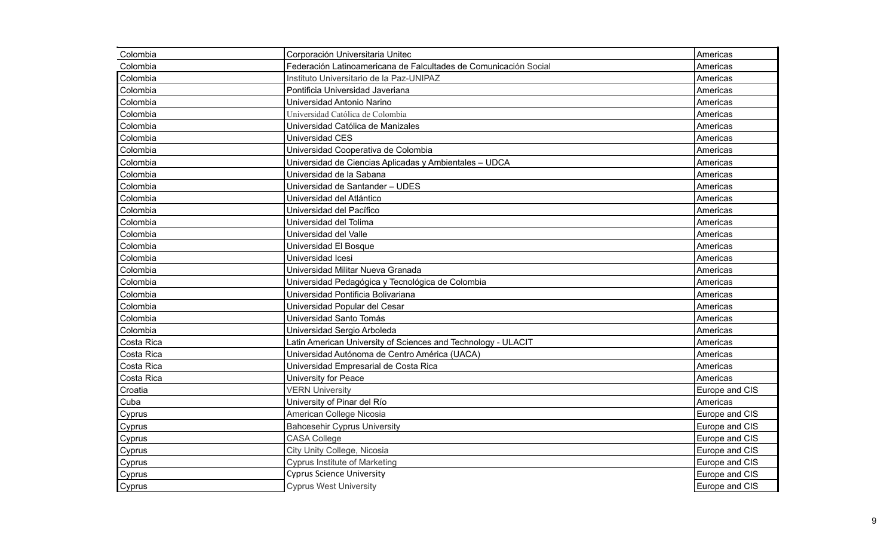| Colombia   | Corporación Universitaria Unitec                                 | Americas       |
|------------|------------------------------------------------------------------|----------------|
| Colombia   | Federación Latinoamericana de Falcultades de Comunicación Social | Americas       |
| Colombia   | Instituto Universitario de la Paz-UNIPAZ                         | Americas       |
| Colombia   | Pontificia Universidad Javeriana                                 | Americas       |
| Colombia   | Universidad Antonio Narino                                       | Americas       |
| Colombia   | Universidad Católica de Colombia                                 | Americas       |
| Colombia   | Universidad Católica de Manizales                                | Americas       |
| Colombia   | Universidad CES                                                  | Americas       |
| Colombia   | Universidad Cooperativa de Colombia                              | Americas       |
| Colombia   | Universidad de Ciencias Aplicadas y Ambientales - UDCA           | Americas       |
| Colombia   | Universidad de la Sabana                                         | Americas       |
| Colombia   | Universidad de Santander - UDES                                  | Americas       |
| Colombia   | Universidad del Atlántico                                        | Americas       |
| Colombia   | Universidad del Pacífico                                         | Americas       |
| Colombia   | Universidad del Tolima                                           | Americas       |
| Colombia   | Universidad del Valle                                            | Americas       |
| Colombia   | Universidad El Bosque                                            | Americas       |
| Colombia   | Universidad Icesi                                                | Americas       |
| Colombia   | Universidad Militar Nueva Granada                                | Americas       |
| Colombia   | Universidad Pedagógica y Tecnológica de Colombia                 | Americas       |
| Colombia   | Universidad Pontificia Bolivariana                               | Americas       |
| Colombia   | Universidad Popular del Cesar                                    | Americas       |
| Colombia   | Universidad Santo Tomás                                          | Americas       |
| Colombia   | Universidad Sergio Arboleda                                      | Americas       |
| Costa Rica | Latin American University of Sciences and Technology - ULACIT    | Americas       |
| Costa Rica | Universidad Autónoma de Centro América (UACA)                    | Americas       |
| Costa Rica | Universidad Empresarial de Costa Rica                            | Americas       |
| Costa Rica | University for Peace                                             | Americas       |
| Croatia    | <b>VERN University</b>                                           | Europe and CIS |
| Cuba       | University of Pinar del Río                                      | Americas       |
| Cyprus     | American College Nicosia                                         | Europe and CIS |
| Cyprus     | <b>Bahcesehir Cyprus University</b>                              | Europe and CIS |
| Cyprus     | <b>CASA College</b>                                              | Europe and CIS |
| Cyprus     | City Unity College, Nicosia                                      | Europe and CIS |
| Cyprus     | <b>Cyprus Institute of Marketing</b>                             | Europe and CIS |
| Cyprus     | <b>Cyprus Science University</b>                                 | Europe and CIS |
| Cyprus     | <b>Cyprus West University</b>                                    | Europe and CIS |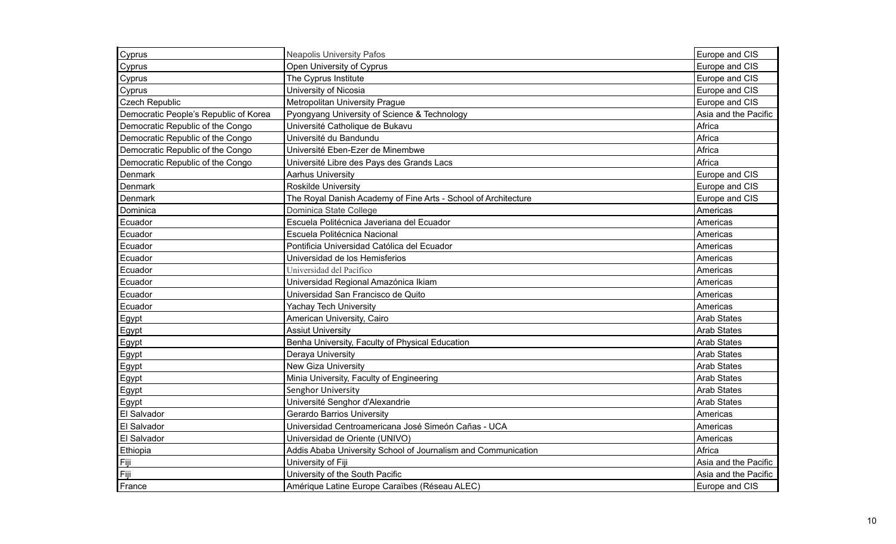| Cyprus                                | <b>Neapolis University Pafos</b>                               | Europe and CIS       |
|---------------------------------------|----------------------------------------------------------------|----------------------|
| Cyprus                                | Open University of Cyprus                                      | Europe and CIS       |
| Cyprus                                | The Cyprus Institute                                           | Europe and CIS       |
| Cyprus                                | University of Nicosia                                          | Europe and CIS       |
| <b>Czech Republic</b>                 | Metropolitan University Prague                                 | Europe and CIS       |
| Democratic People's Republic of Korea | Pyongyang University of Science & Technology                   | Asia and the Pacific |
| Democratic Republic of the Congo      | Université Catholique de Bukavu                                | Africa               |
| Democratic Republic of the Congo      | Université du Bandundu                                         | Africa               |
| Democratic Republic of the Congo      | Université Eben-Ezer de Minembwe                               | Africa               |
| Democratic Republic of the Congo      | Université Libre des Pays des Grands Lacs                      | Africa               |
| Denmark                               | <b>Aarhus University</b>                                       | Europe and CIS       |
| Denmark                               | <b>Roskilde University</b>                                     | Europe and CIS       |
| Denmark                               | The Royal Danish Academy of Fine Arts - School of Architecture | Europe and CIS       |
| Dominica                              | Dominica State College                                         | Americas             |
| Ecuador                               | Escuela Politécnica Javeriana del Ecuador                      | Americas             |
| Ecuador                               | Escuela Politécnica Nacional                                   | Americas             |
| Ecuador                               | Pontificia Universidad Católica del Ecuador                    | Americas             |
| Ecuador                               | Universidad de los Hemisferios                                 | Americas             |
| Ecuador                               | Universidad del Pacífico                                       | Americas             |
| Ecuador                               | Universidad Regional Amazónica Ikiam                           | Americas             |
| Ecuador                               | Universidad San Francisco de Quito                             | Americas             |
| Ecuador                               | <b>Yachay Tech University</b>                                  | Americas             |
| Egypt                                 | American University, Cairo                                     | <b>Arab States</b>   |
| Egypt                                 | <b>Assiut University</b>                                       | <b>Arab States</b>   |
| Egypt                                 | Benha University, Faculty of Physical Education                | <b>Arab States</b>   |
| Egypt                                 | Deraya University                                              | <b>Arab States</b>   |
| Egypt                                 | New Giza University                                            | <b>Arab States</b>   |
| Egypt                                 | Minia University, Faculty of Engineering                       | <b>Arab States</b>   |
| Egypt                                 | Senghor University                                             | <b>Arab States</b>   |
| Egypt                                 | Université Senghor d'Alexandrie                                | <b>Arab States</b>   |
| El Salvador                           | <b>Gerardo Barrios University</b>                              | Americas             |
| El Salvador                           | Universidad Centroamericana José Simeón Cañas - UCA            | Americas             |
| El Salvador                           | Universidad de Oriente (UNIVO)                                 | Americas             |
| Ethiopia                              | Addis Ababa University School of Journalism and Communication  | Africa               |
| Fiji                                  | University of Fiji                                             | Asia and the Pacific |
| Fiji                                  | University of the South Pacific                                | Asia and the Pacific |
| France                                | Amérique Latine Europe Caraïbes (Réseau ALEC)                  | Europe and CIS       |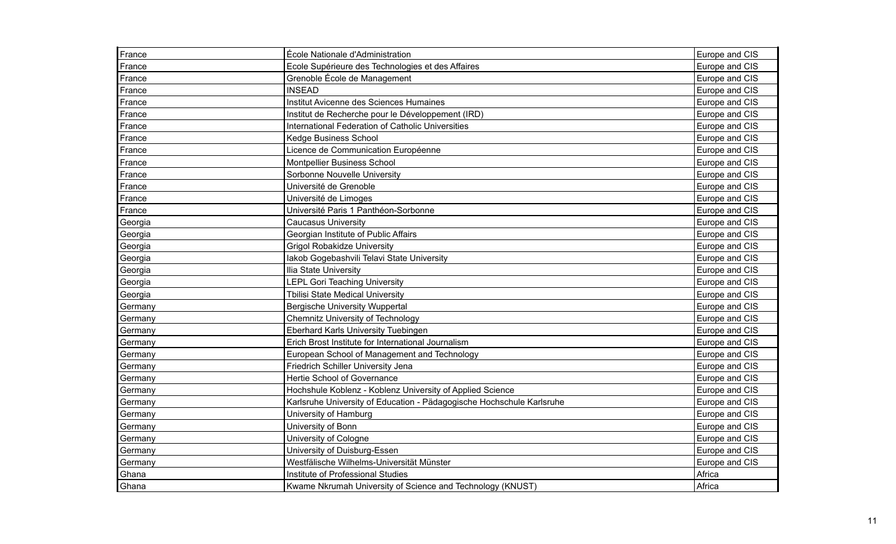| France  | École Nationale d'Administration                                      | Europe and CIS |
|---------|-----------------------------------------------------------------------|----------------|
| France  | Ecole Supérieure des Technologies et des Affaires                     | Europe and CIS |
| France  | Grenoble École de Management                                          | Europe and CIS |
| France  | <b>INSEAD</b>                                                         | Europe and CIS |
| France  | Institut Avicenne des Sciences Humaines                               | Europe and CIS |
| France  | Institut de Recherche pour le Développement (IRD)                     | Europe and CIS |
| France  | International Federation of Catholic Universities                     | Europe and CIS |
| France  | Kedge Business School                                                 | Europe and CIS |
| France  | Licence de Communication Européenne                                   | Europe and CIS |
| France  | Montpellier Business School                                           | Europe and CIS |
| France  | Sorbonne Nouvelle University                                          | Europe and CIS |
| France  | Université de Grenoble                                                | Europe and CIS |
| France  | Université de Limoges                                                 | Europe and CIS |
| France  | Université Paris 1 Panthéon-Sorbonne                                  | Europe and CIS |
| Georgia | <b>Caucasus University</b>                                            | Europe and CIS |
| Georgia | Georgian Institute of Public Affairs                                  | Europe and CIS |
| Georgia | <b>Grigol Robakidze University</b>                                    | Europe and CIS |
| Georgia | lakob Gogebashvili Telavi State University                            | Europe and CIS |
| Georgia | Ilia State University                                                 | Europe and CIS |
| Georgia | <b>LEPL Gori Teaching University</b>                                  | Europe and CIS |
| Georgia | <b>Tbilisi State Medical University</b>                               | Europe and CIS |
| Germany | <b>Bergische University Wuppertal</b>                                 | Europe and CIS |
| Germany | <b>Chemnitz University of Technology</b>                              | Europe and CIS |
| Germany | Eberhard Karls University Tuebingen                                   | Europe and CIS |
| Germany | Erich Brost Institute for International Journalism                    | Europe and CIS |
| Germany | European School of Management and Technology                          | Europe and CIS |
| Germany | Friedrich Schiller University Jena                                    | Europe and CIS |
| Germany | Hertie School of Governance                                           | Europe and CIS |
| Germany | Hochshule Koblenz - Koblenz University of Applied Science             | Europe and CIS |
| Germany | Karlsruhe University of Education - Pädagogische Hochschule Karlsruhe | Europe and CIS |
| Germany | University of Hamburg                                                 | Europe and CIS |
| Germany | University of Bonn                                                    | Europe and CIS |
| Germany | University of Cologne                                                 | Europe and CIS |
| Germany | University of Duisburg-Essen                                          | Europe and CIS |
| Germany | Westfälische Wilhelms-Universität Münster                             | Europe and CIS |
| Ghana   | Institute of Professional Studies                                     | Africa         |
| Ghana   | Kwame Nkrumah University of Science and Technology (KNUST)            | Africa         |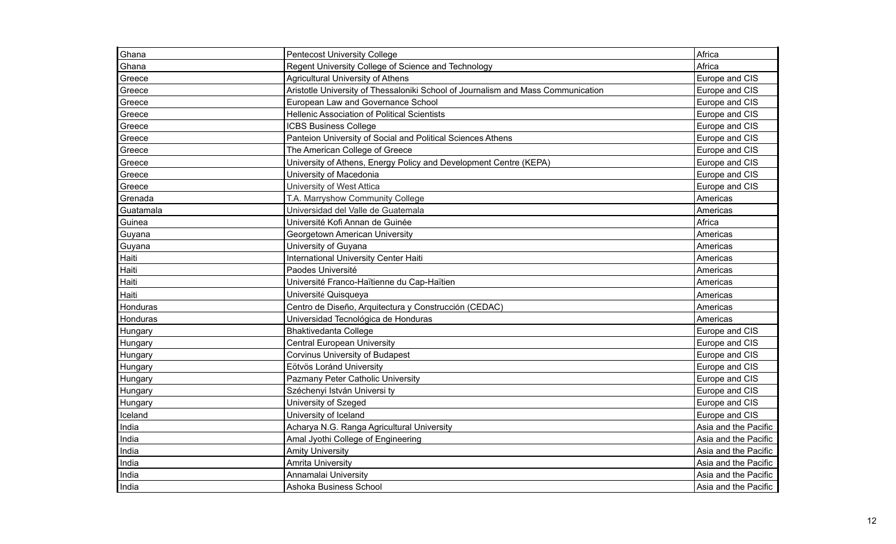| Ghana          | <b>Pentecost University College</b>                                              | Africa               |
|----------------|----------------------------------------------------------------------------------|----------------------|
| Ghana          | Regent University College of Science and Technology                              | Africa               |
| Greece         | <b>Agricultural University of Athens</b>                                         | Europe and CIS       |
| Greece         | Aristotle University of Thessaloniki School of Journalism and Mass Communication | Europe and CIS       |
| Greece         | European Law and Governance School                                               | Europe and CIS       |
| Greece         | <b>Hellenic Association of Political Scientists</b>                              | Europe and CIS       |
| Greece         | <b>ICBS Business College</b>                                                     | Europe and CIS       |
| Greece         | Panteion University of Social and Political Sciences Athens                      | Europe and CIS       |
| Greece         | The American College of Greece                                                   | Europe and CIS       |
| Greece         | University of Athens, Energy Policy and Development Centre (KEPA)                | Europe and CIS       |
| Greece         | University of Macedonia                                                          | Europe and CIS       |
| Greece         | University of West Attica                                                        | Europe and CIS       |
| Grenada        | T.A. Marryshow Community College                                                 | Americas             |
| Guatamala      | Universidad del Valle de Guatemala                                               | Americas             |
| Guinea         | Université Kofi Annan de Guinée                                                  | Africa               |
| Guyana         | Georgetown American University                                                   | Americas             |
| Guyana         | University of Guyana                                                             | Americas             |
| Haiti          | International University Center Haiti                                            | Americas             |
| Haiti          | Paodes Université                                                                | Americas             |
| Haiti          | Université Franco-Haïtienne du Cap-Haïtien                                       | Americas             |
| Haiti          | Université Quisqueya                                                             | Americas             |
| Honduras       | Centro de Diseño, Arquitectura y Construcción (CEDAC)                            | Americas             |
| Honduras       | Universidad Tecnológica de Honduras                                              | Americas             |
| <b>Hungary</b> | <b>Bhaktivedanta College</b>                                                     | Europe and CIS       |
| Hungary        | <b>Central European University</b>                                               | Europe and CIS       |
| Hungary        | <b>Corvinus University of Budapest</b>                                           | Europe and CIS       |
| Hungary        | Eötvös Loránd University                                                         | Europe and CIS       |
| Hungary        | Pazmany Peter Catholic University                                                | Europe and CIS       |
| Hungary        | Széchenyi István Universi ty                                                     | Europe and CIS       |
| Hungary        | University of Szeged                                                             | Europe and CIS       |
| Iceland        | University of Iceland                                                            | Europe and CIS       |
| India          | Acharya N.G. Ranga Agricultural University                                       | Asia and the Pacific |
| India          | Amal Jyothi College of Engineering                                               | Asia and the Pacific |
| India          | <b>Amity University</b>                                                          | Asia and the Pacific |
| India          | <b>Amrita University</b>                                                         | Asia and the Pacific |
| India          | Annamalai University                                                             | Asia and the Pacific |
| India          | Ashoka Business School                                                           | Asia and the Pacific |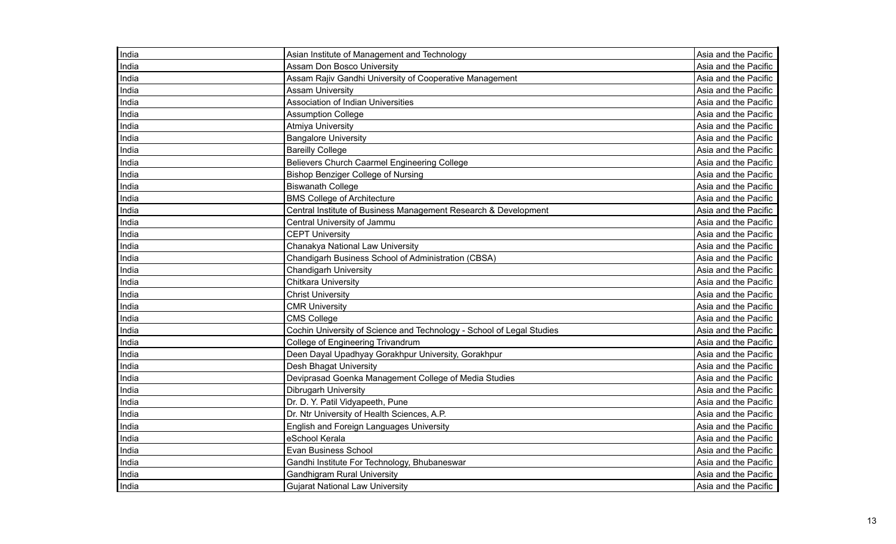| India | Asian Institute of Management and Technology                          | Asia and the Pacific |
|-------|-----------------------------------------------------------------------|----------------------|
| India | <b>Assam Don Bosco University</b>                                     | Asia and the Pacific |
| India | Assam Rajiv Gandhi University of Cooperative Management               | Asia and the Pacific |
| India | <b>Assam University</b>                                               | Asia and the Pacific |
| India | <b>Association of Indian Universities</b>                             | Asia and the Pacific |
| India | <b>Assumption College</b>                                             | Asia and the Pacific |
| India | <b>Atmiya University</b>                                              | Asia and the Pacific |
| India | <b>Bangalore University</b>                                           | Asia and the Pacific |
| India | <b>Bareilly College</b>                                               | Asia and the Pacific |
| India | Believers Church Caarmel Engineering College                          | Asia and the Pacific |
| India | <b>Bishop Benziger College of Nursing</b>                             | Asia and the Pacific |
| India | <b>Biswanath College</b>                                              | Asia and the Pacific |
| India | <b>BMS College of Architecture</b>                                    | Asia and the Pacific |
| India | Central Institute of Business Management Research & Development       | Asia and the Pacific |
| India | Central University of Jammu                                           | Asia and the Pacific |
| India | <b>CEPT University</b>                                                | Asia and the Pacific |
| India | Chanakya National Law University                                      | Asia and the Pacific |
| India | Chandigarh Business School of Administration (CBSA)                   | Asia and the Pacific |
| India | <b>Chandigarh University</b>                                          | Asia and the Pacific |
| India | <b>Chitkara University</b>                                            | Asia and the Pacific |
| India | <b>Christ University</b>                                              | Asia and the Pacific |
| India | <b>CMR University</b>                                                 | Asia and the Pacific |
| India | <b>CMS College</b>                                                    | Asia and the Pacific |
| India | Cochin University of Science and Technology - School of Legal Studies | Asia and the Pacific |
| India | College of Engineering Trivandrum                                     | Asia and the Pacific |
| India | Deen Dayal Upadhyay Gorakhpur University, Gorakhpur                   | Asia and the Pacific |
| India | Desh Bhagat University                                                | Asia and the Pacific |
| India | Deviprasad Goenka Management College of Media Studies                 | Asia and the Pacific |
| India | Dibrugarh University                                                  | Asia and the Pacific |
| India | Dr. D. Y. Patil Vidyapeeth, Pune                                      | Asia and the Pacific |
| India | Dr. Ntr University of Health Sciences, A.P.                           | Asia and the Pacific |
| India | <b>English and Foreign Languages University</b>                       | Asia and the Pacific |
| India | eSchool Kerala                                                        | Asia and the Pacific |
| India | Evan Business School                                                  | Asia and the Pacific |
| India | Gandhi Institute For Technology, Bhubaneswar                          | Asia and the Pacific |
| India | <b>Gandhigram Rural University</b>                                    | Asia and the Pacific |
| India | <b>Gujarat National Law University</b>                                | Asia and the Pacific |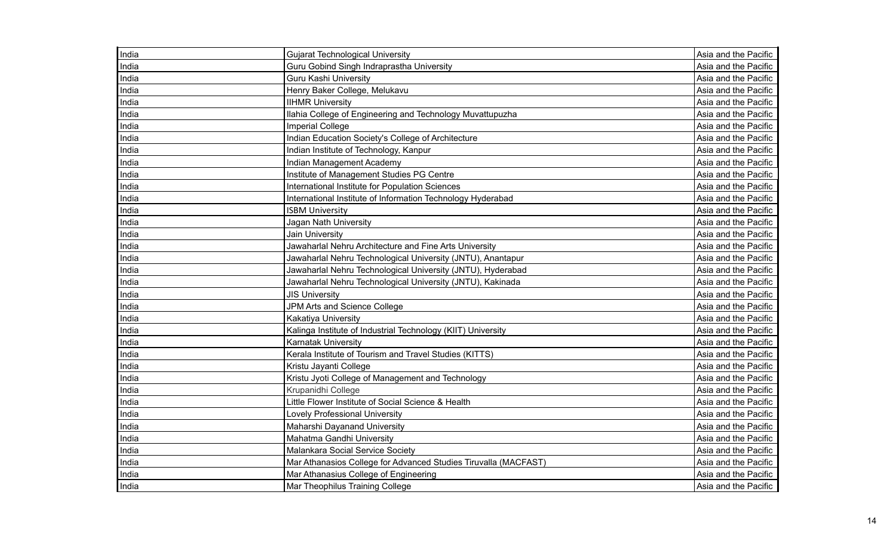| India | <b>Gujarat Technological University</b>                         | Asia and the Pacific |
|-------|-----------------------------------------------------------------|----------------------|
| India | Guru Gobind Singh Indraprastha University                       | Asia and the Pacific |
| India | <b>Guru Kashi University</b>                                    | Asia and the Pacific |
| India | Henry Baker College, Melukavu                                   | Asia and the Pacific |
| India | <b>IIHMR University</b>                                         | Asia and the Pacific |
| India | Ilahia College of Engineering and Technology Muvattupuzha       | Asia and the Pacific |
| India | <b>Imperial College</b>                                         | Asia and the Pacific |
| India | Indian Education Society's College of Architecture              | Asia and the Pacific |
| India | Indian Institute of Technology, Kanpur                          | Asia and the Pacific |
| India | Indian Management Academy                                       | Asia and the Pacific |
| India | Institute of Management Studies PG Centre                       | Asia and the Pacific |
| India | International Institute for Population Sciences                 | Asia and the Pacific |
| India | International Institute of Information Technology Hyderabad     | Asia and the Pacific |
| India | <b>ISBM University</b>                                          | Asia and the Pacific |
| India | Jagan Nath University                                           | Asia and the Pacific |
| India | Jain University                                                 | Asia and the Pacific |
| India | Jawaharlal Nehru Architecture and Fine Arts University          | Asia and the Pacific |
| India | Jawaharlal Nehru Technological University (JNTU), Anantapur     | Asia and the Pacific |
| India | Jawaharlal Nehru Technological University (JNTU), Hyderabad     | Asia and the Pacific |
| India | Jawaharlal Nehru Technological University (JNTU), Kakinada      | Asia and the Pacific |
| India | <b>JIS University</b>                                           | Asia and the Pacific |
| India | JPM Arts and Science College                                    | Asia and the Pacific |
| India | <b>Kakatiya University</b>                                      | Asia and the Pacific |
| India | Kalinga Institute of Industrial Technology (KIIT) University    | Asia and the Pacific |
| India | Karnatak University                                             | Asia and the Pacific |
| India | Kerala Institute of Tourism and Travel Studies (KITTS)          | Asia and the Pacific |
| India | Kristu Jayanti College                                          | Asia and the Pacific |
| India | Kristu Jyoti College of Management and Technology               | Asia and the Pacific |
| India | Krupanidhi College                                              | Asia and the Pacific |
| India | Little Flower Institute of Social Science & Health              | Asia and the Pacific |
| India | <b>Lovely Professional University</b>                           | Asia and the Pacific |
| India | Maharshi Dayanand University                                    | Asia and the Pacific |
| India | Mahatma Gandhi University                                       | Asia and the Pacific |
| India | Malankara Social Service Society                                | Asia and the Pacific |
| India | Mar Athanasios College for Advanced Studies Tiruvalla (MACFAST) | Asia and the Pacific |
| India | Mar Athanasius College of Engineering                           | Asia and the Pacific |
| India | Mar Theophilus Training College                                 | Asia and the Pacific |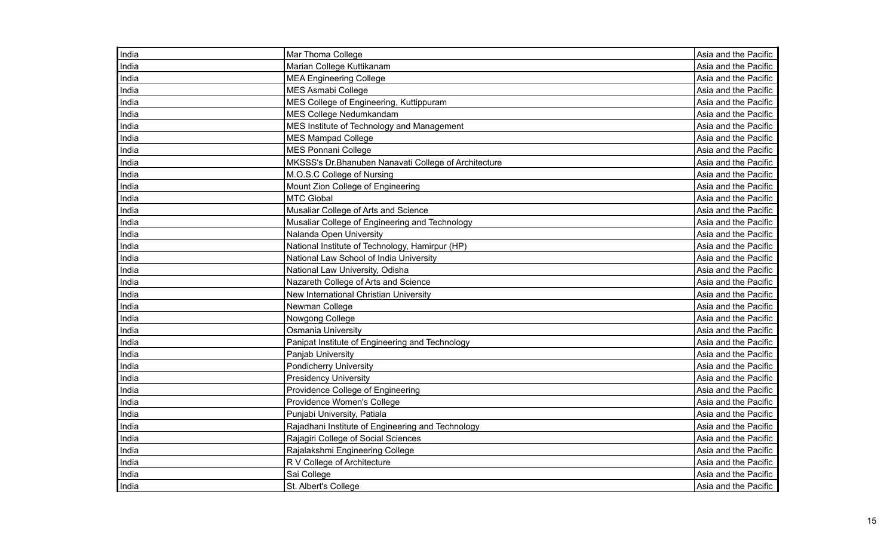| India | Mar Thoma College                                    | Asia and the Pacific |
|-------|------------------------------------------------------|----------------------|
| India | Marian College Kuttikanam                            | Asia and the Pacific |
| India | <b>MEA Engineering College</b>                       | Asia and the Pacific |
| India | <b>MES Asmabi College</b>                            | Asia and the Pacific |
| India | MES College of Engineering, Kuttippuram              | Asia and the Pacific |
| India | MES College Nedumkandam                              | Asia and the Pacific |
| India | MES Institute of Technology and Management           | Asia and the Pacific |
| India | <b>MES Mampad College</b>                            | Asia and the Pacific |
| India | <b>MES Ponnani College</b>                           | Asia and the Pacific |
| India | MKSSS's Dr.Bhanuben Nanavati College of Architecture | Asia and the Pacific |
| India | M.O.S.C College of Nursing                           | Asia and the Pacific |
| India | Mount Zion College of Engineering                    | Asia and the Pacific |
| India | <b>MTC Global</b>                                    | Asia and the Pacific |
| India | Musaliar College of Arts and Science                 | Asia and the Pacific |
| India | Musaliar College of Engineering and Technology       | Asia and the Pacific |
| India | Nalanda Open University                              | Asia and the Pacific |
| India | National Institute of Technology, Hamirpur (HP)      | Asia and the Pacific |
| India | National Law School of India University              | Asia and the Pacific |
| India | National Law University, Odisha                      | Asia and the Pacific |
| India | Nazareth College of Arts and Science                 | Asia and the Pacific |
| India | New International Christian University               | Asia and the Pacific |
| India | Newman College                                       | Asia and the Pacific |
| India | Nowgong College                                      | Asia and the Pacific |
| India | Osmania University                                   | Asia and the Pacific |
| India | Panipat Institute of Engineering and Technology      | Asia and the Pacific |
| India | Panjab University                                    | Asia and the Pacific |
| India | <b>Pondicherry University</b>                        | Asia and the Pacific |
| India | <b>Presidency University</b>                         | Asia and the Pacific |
| India | Providence College of Engineering                    | Asia and the Pacific |
| India | Providence Women's College                           | Asia and the Pacific |
| India | Punjabi University, Patiala                          | Asia and the Pacific |
| India | Rajadhani Institute of Engineering and Technology    | Asia and the Pacific |
| India | Rajagiri College of Social Sciences                  | Asia and the Pacific |
| India | Rajalakshmi Engineering College                      | Asia and the Pacific |
| India | R V College of Architecture                          | Asia and the Pacific |
| India | Sai College                                          | Asia and the Pacific |
| India | St. Albert's College                                 | Asia and the Pacific |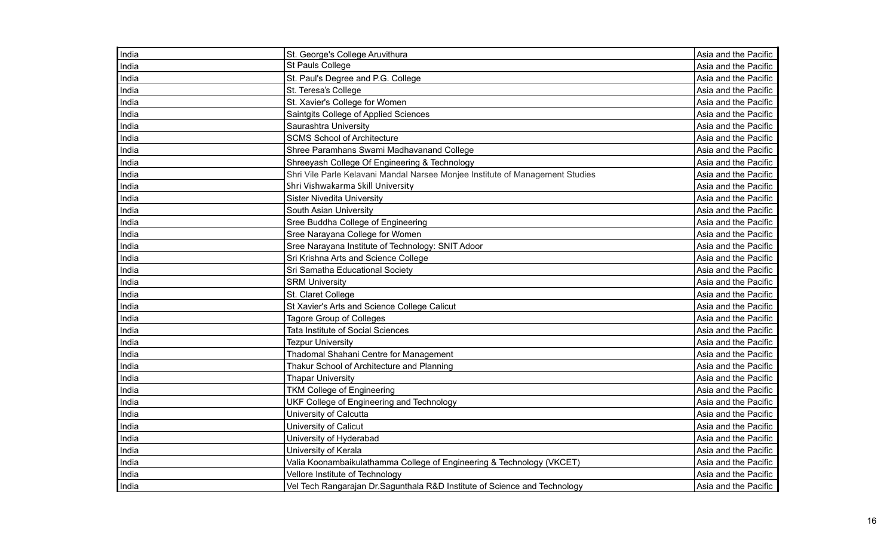| India | St. George's College Aruvithura                                               | Asia and the Pacific |
|-------|-------------------------------------------------------------------------------|----------------------|
| India | St Pauls College                                                              | Asia and the Pacific |
| India | St. Paul's Degree and P.G. College                                            | Asia and the Pacific |
| India | St. Teresa's College                                                          | Asia and the Pacific |
| India | St. Xavier's College for Women                                                | Asia and the Pacific |
| India | Saintgits College of Applied Sciences                                         | Asia and the Pacific |
| India | Saurashtra University                                                         | Asia and the Pacific |
| India | <b>SCMS School of Architecture</b>                                            | Asia and the Pacific |
| India | Shree Paramhans Swami Madhavanand College                                     | Asia and the Pacific |
| India | Shreeyash College Of Engineering & Technology                                 | Asia and the Pacific |
| India | Shri Vile Parle Kelavani Mandal Narsee Monjee Institute of Management Studies | Asia and the Pacific |
| India | Shri Vishwakarma Skill University                                             | Asia and the Pacific |
| India | <b>Sister Nivedita University</b>                                             | Asia and the Pacific |
| India | South Asian University                                                        | Asia and the Pacific |
| India | Sree Buddha College of Engineering                                            | Asia and the Pacific |
| India | Sree Narayana College for Women                                               | Asia and the Pacific |
| India | Sree Narayana Institute of Technology: SNIT Adoor                             | Asia and the Pacific |
| India | Sri Krishna Arts and Science College                                          | Asia and the Pacific |
| India | Sri Samatha Educational Society                                               | Asia and the Pacific |
| India | <b>SRM University</b>                                                         | Asia and the Pacific |
| India | St. Claret College                                                            | Asia and the Pacific |
| India | St Xavier's Arts and Science College Calicut                                  | Asia and the Pacific |
| India | Tagore Group of Colleges                                                      | Asia and the Pacific |
| India | Tata Institute of Social Sciences                                             | Asia and the Pacific |
| India | <b>Tezpur University</b>                                                      | Asia and the Pacific |
| India | Thadomal Shahani Centre for Management                                        | Asia and the Pacific |
| India | Thakur School of Architecture and Planning                                    | Asia and the Pacific |
| India | <b>Thapar University</b>                                                      | Asia and the Pacific |
| India | <b>TKM College of Engineering</b>                                             | Asia and the Pacific |
| India | UKF College of Engineering and Technology                                     | Asia and the Pacific |
| India | University of Calcutta                                                        | Asia and the Pacific |
| India | University of Calicut                                                         | Asia and the Pacific |
| India | University of Hyderabad                                                       | Asia and the Pacific |
| India | University of Kerala                                                          | Asia and the Pacific |
| India | Valia Koonambaikulathamma College of Engineering & Technology (VKCET)         | Asia and the Pacific |
| India | Vellore Institute of Technology                                               | Asia and the Pacific |
| India | Vel Tech Rangarajan Dr. Sagunthala R&D Institute of Science and Technology    | Asia and the Pacific |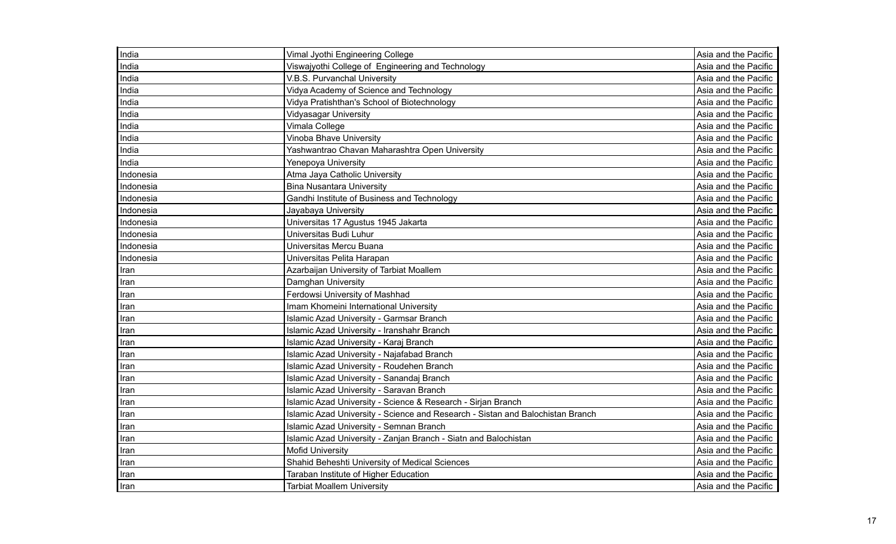| India     | Vimal Jyothi Engineering College                                               | Asia and the Pacific |
|-----------|--------------------------------------------------------------------------------|----------------------|
| India     | Viswajyothi College of Engineering and Technology                              | Asia and the Pacific |
| India     | V.B.S. Purvanchal University                                                   | Asia and the Pacific |
| India     | Vidya Academy of Science and Technology                                        | Asia and the Pacific |
| India     | Vidya Pratishthan's School of Biotechnology                                    | Asia and the Pacific |
| India     | <b>Vidyasagar University</b>                                                   | Asia and the Pacific |
| India     | Vimala College                                                                 | Asia and the Pacific |
| India     | <b>Vinoba Bhave University</b>                                                 | Asia and the Pacific |
| India     | Yashwantrao Chavan Maharashtra Open University                                 | Asia and the Pacific |
| India     | Yenepoya University                                                            | Asia and the Pacific |
| Indonesia | Atma Jaya Catholic University                                                  | Asia and the Pacific |
| Indonesia | <b>Bina Nusantara University</b>                                               | Asia and the Pacific |
| Indonesia | Gandhi Institute of Business and Technology                                    | Asia and the Pacific |
| Indonesia | Jayabaya University                                                            | Asia and the Pacific |
| Indonesia | Universitas 17 Agustus 1945 Jakarta                                            | Asia and the Pacific |
| Indonesia | Universitas Budi Luhur                                                         | Asia and the Pacific |
| Indonesia | Universitas Mercu Buana                                                        | Asia and the Pacific |
| Indonesia | Universitas Pelita Harapan                                                     | Asia and the Pacific |
| Iran      | Azarbaijan University of Tarbiat Moallem                                       | Asia and the Pacific |
| Iran      | Damghan University                                                             | Asia and the Pacific |
| Iran      | Ferdowsi University of Mashhad                                                 | Asia and the Pacific |
| Iran      | Imam Khomeini International University                                         | Asia and the Pacific |
| Iran      | Islamic Azad University - Garmsar Branch                                       | Asia and the Pacific |
| Iran      | Islamic Azad University - Iranshahr Branch                                     | Asia and the Pacific |
| Iran      | Islamic Azad University - Karaj Branch                                         | Asia and the Pacific |
| Iran      | Islamic Azad University - Najafabad Branch                                     | Asia and the Pacific |
| Iran      | Islamic Azad University - Roudehen Branch                                      | Asia and the Pacific |
| Iran      | Islamic Azad University - Sanandaj Branch                                      | Asia and the Pacific |
| Iran      | Islamic Azad University - Saravan Branch                                       | Asia and the Pacific |
| Iran      | Islamic Azad University - Science & Research - Sirjan Branch                   | Asia and the Pacific |
| Iran      | Islamic Azad University - Science and Research - Sistan and Balochistan Branch | Asia and the Pacific |
| Iran      | Islamic Azad University - Semnan Branch                                        | Asia and the Pacific |
| Iran      | Islamic Azad University - Zanjan Branch - Siatn and Balochistan                | Asia and the Pacific |
| Iran      | <b>Mofid University</b>                                                        | Asia and the Pacific |
| Iran      | Shahid Beheshti University of Medical Sciences                                 | Asia and the Pacific |
| Iran      | Taraban Institute of Higher Education                                          | Asia and the Pacific |
| Iran      | <b>Tarbiat Moallem University</b>                                              | Asia and the Pacific |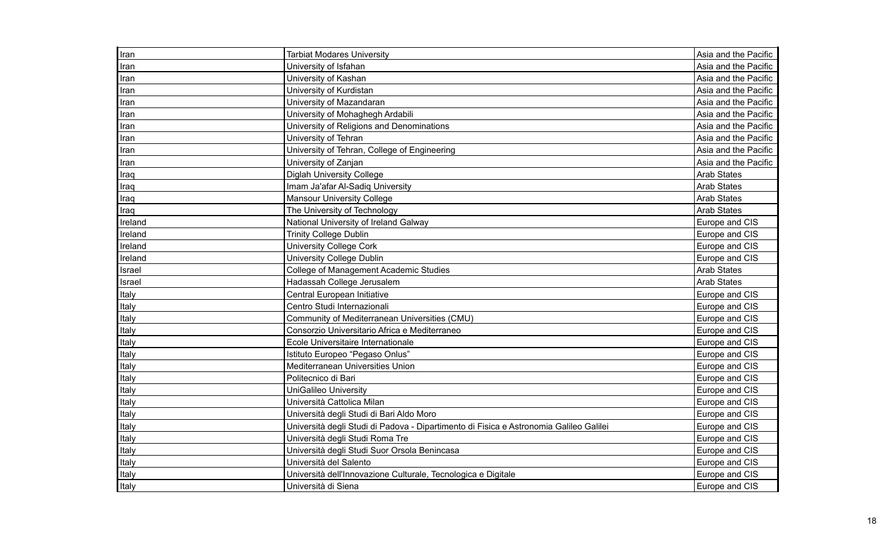| Iran    | <b>Tarbiat Modares University</b>                                                      | Asia and the Pacific |
|---------|----------------------------------------------------------------------------------------|----------------------|
| Iran    | University of Isfahan                                                                  | Asia and the Pacific |
| Iran    | University of Kashan                                                                   | Asia and the Pacific |
| Iran    | University of Kurdistan                                                                | Asia and the Pacific |
| Iran    | University of Mazandaran                                                               | Asia and the Pacific |
| Iran    | University of Mohaghegh Ardabili                                                       | Asia and the Pacific |
| Iran    | University of Religions and Denominations                                              | Asia and the Pacific |
| Iran    | University of Tehran                                                                   | Asia and the Pacific |
| Iran    | University of Tehran, College of Engineering                                           | Asia and the Pacific |
| Iran    | University of Zanjan                                                                   | Asia and the Pacific |
| Iraq    | <b>Diglah University College</b>                                                       | <b>Arab States</b>   |
| Iraq    | Imam Ja'afar Al-Sadiq University                                                       | <b>Arab States</b>   |
| Iraq    | <b>Mansour University College</b>                                                      | <b>Arab States</b>   |
| Iraq    | The University of Technology                                                           | <b>Arab States</b>   |
| Ireland | National University of Ireland Galway                                                  | Europe and CIS       |
| Ireland | <b>Trinity College Dublin</b>                                                          | Europe and CIS       |
| Ireland | <b>University College Cork</b>                                                         | Europe and CIS       |
| Ireland | <b>University College Dublin</b>                                                       | Europe and CIS       |
| Israel  | College of Management Academic Studies                                                 | <b>Arab States</b>   |
| Israel  | Hadassah College Jerusalem                                                             | <b>Arab States</b>   |
| Italy   | Central European Initiative                                                            | Europe and CIS       |
| Italy   | Centro Studi Internazionali                                                            | Europe and CIS       |
| Italy   | Community of Mediterranean Universities (CMU)                                          | Europe and CIS       |
| Italy   | Consorzio Universitario Africa e Mediterraneo                                          | Europe and CIS       |
| Italy   | Ecole Universitaire Internationale                                                     | Europe and CIS       |
| Italy   | Istituto Europeo "Pegaso Onlus"                                                        | Europe and CIS       |
| Italy   | Mediterranean Universities Union                                                       | Europe and CIS       |
| Italy   | Politecnico di Bari                                                                    | Europe and CIS       |
| Italy   | <b>UniGalileo University</b>                                                           | Europe and CIS       |
| Italy   | Università Cattolica Milan                                                             | Europe and CIS       |
| Italy   | Università degli Studi di Bari Aldo Moro                                               | Europe and CIS       |
| Italy   | Università degli Studi di Padova - Dipartimento di Fisica e Astronomia Galileo Galilei | Europe and CIS       |
| Italy   | Università degli Studi Roma Tre                                                        | Europe and CIS       |
| Italy   | Università degli Studi Suor Orsola Benincasa                                           | Europe and CIS       |
| Italy   | Università del Salento                                                                 | Europe and CIS       |
| Italy   | Università dell'Innovazione Culturale, Tecnologica e Digitale                          | Europe and CIS       |
| Italy   | Università di Siena                                                                    | Europe and CIS       |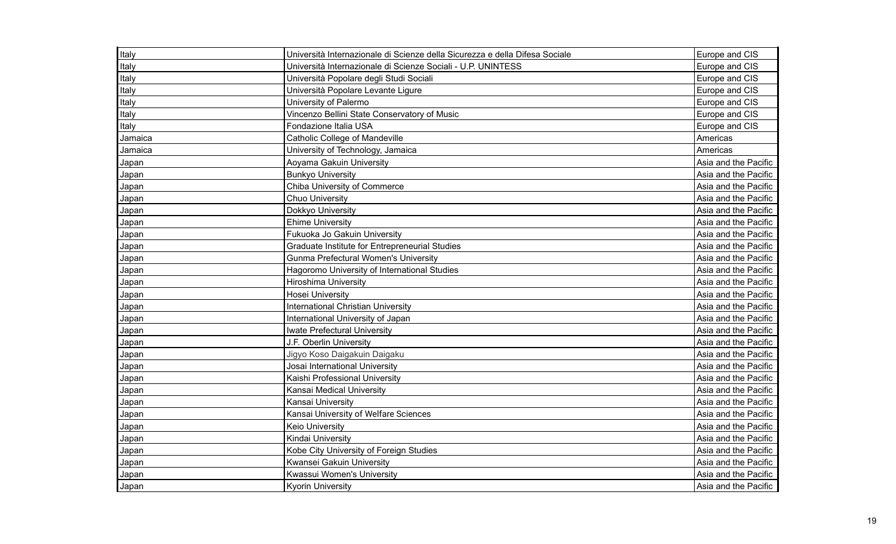| Italy   | Università Internazionale di Scienze della Sicurezza e della Difesa Sociale | Europe and CIS       |
|---------|-----------------------------------------------------------------------------|----------------------|
| Italy   | Università Internazionale di Scienze Sociali - U.P. UNINTESS                | Europe and CIS       |
| Italy   | Università Popolare degli Studi Sociali                                     | Europe and CIS       |
| Italy   | Università Popolare Levante Ligure                                          | Europe and CIS       |
| Italy   | University of Palermo                                                       | Europe and CIS       |
| Italy   | Vincenzo Bellini State Conservatory of Music                                | Europe and CIS       |
| Italy   | Fondazione Italia USA                                                       | Europe and CIS       |
| Jamaica | <b>Catholic College of Mandeville</b>                                       | Americas             |
| Jamaica | University of Technology, Jamaica                                           | Americas             |
| Japan   | Aoyama Gakuin University                                                    | Asia and the Pacific |
| Japan   | <b>Bunkyo University</b>                                                    | Asia and the Pacific |
| Japan   | Chiba University of Commerce                                                | Asia and the Pacific |
| Japan   | <b>Chuo University</b>                                                      | Asia and the Pacific |
| Japan   | Dokkyo University                                                           | Asia and the Pacific |
| Japan   | <b>Ehime University</b>                                                     | Asia and the Pacific |
| Japan   | Fukuoka Jo Gakuin University                                                | Asia and the Pacific |
| Japan   | Graduate Institute for Entrepreneurial Studies                              | Asia and the Pacific |
| Japan   | <b>Gunma Prefectural Women's University</b>                                 | Asia and the Pacific |
| Japan   | Hagoromo University of International Studies                                | Asia and the Pacific |
| Japan   | <b>Hiroshima University</b>                                                 | Asia and the Pacific |
| Japan   | <b>Hosei University</b>                                                     | Asia and the Pacific |
| Japan   | <b>International Christian University</b>                                   | Asia and the Pacific |
| Japan   | International University of Japan                                           | Asia and the Pacific |
| Japan   | Iwate Prefectural University                                                | Asia and the Pacific |
| Japan   | J.F. Oberlin University                                                     | Asia and the Pacific |
| Japan   | Jigyo Koso Daigakuin Daigaku                                                | Asia and the Pacific |
| Japan   | Josai International University                                              | Asia and the Pacific |
| Japan   | Kaishi Professional University                                              | Asia and the Pacific |
| Japan   | Kansai Medical University                                                   | Asia and the Pacific |
| Japan   | Kansai University                                                           | Asia and the Pacific |
| Japan   | Kansai University of Welfare Sciences                                       | Asia and the Pacific |
| Japan   | <b>Keio University</b>                                                      | Asia and the Pacific |
| Japan   | Kindai University                                                           | Asia and the Pacific |
| Japan   | Kobe City University of Foreign Studies                                     | Asia and the Pacific |
| Japan   | Kwansei Gakuin University                                                   | Asia and the Pacific |
| Japan   | Kwassui Women's University                                                  | Asia and the Pacific |
| Japan   | <b>Kyorin University</b>                                                    | Asia and the Pacific |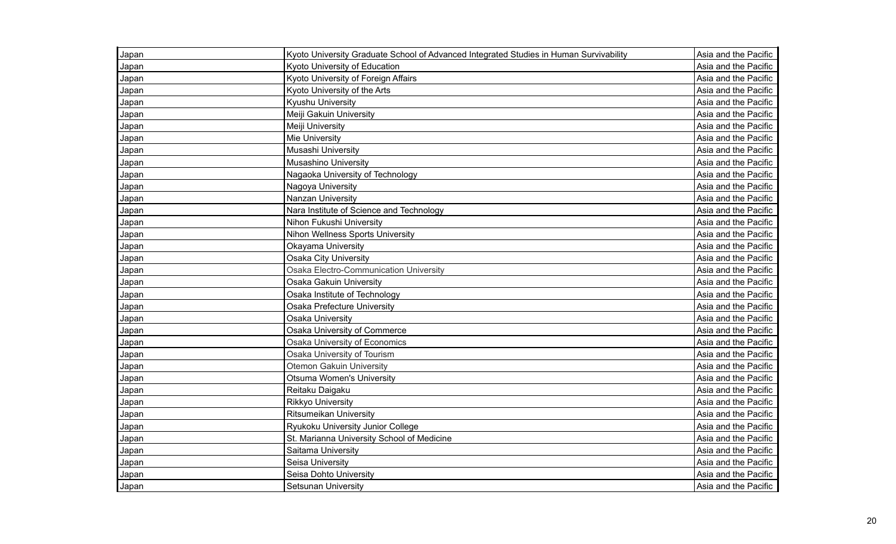| Japan | Kyoto University Graduate School of Advanced Integrated Studies in Human Survivability | Asia and the Pacific |
|-------|----------------------------------------------------------------------------------------|----------------------|
| Japan | Kyoto University of Education                                                          | Asia and the Pacific |
| Japan | Kyoto University of Foreign Affairs                                                    | Asia and the Pacific |
| Japan | Kyoto University of the Arts                                                           | Asia and the Pacific |
| Japan | Kyushu University                                                                      | Asia and the Pacific |
| Japan | Meiji Gakuin University                                                                | Asia and the Pacific |
| Japan | Meiji University                                                                       | Asia and the Pacific |
| Japan | Mie University                                                                         | Asia and the Pacific |
| Japan | Musashi University                                                                     | Asia and the Pacific |
| Japan | Musashino University                                                                   | Asia and the Pacific |
| Japan | Nagaoka University of Technology                                                       | Asia and the Pacific |
| Japan | Nagoya University                                                                      | Asia and the Pacific |
| Japan | Nanzan University                                                                      | Asia and the Pacific |
| Japan | Nara Institute of Science and Technology                                               | Asia and the Pacific |
| Japan | Nihon Fukushi University                                                               | Asia and the Pacific |
| Japan | Nihon Wellness Sports University                                                       | Asia and the Pacific |
| Japan | Okayama University                                                                     | Asia and the Pacific |
| Japan | <b>Osaka City University</b>                                                           | Asia and the Pacific |
| Japan | Osaka Electro-Communication University                                                 | Asia and the Pacific |
| Japan | Osaka Gakuin University                                                                | Asia and the Pacific |
| Japan | Osaka Institute of Technology                                                          | Asia and the Pacific |
| Japan | <b>Osaka Prefecture University</b>                                                     | Asia and the Pacific |
| Japan | Osaka University                                                                       | Asia and the Pacific |
| Japan | Osaka University of Commerce                                                           | Asia and the Pacific |
| Japan | <b>Osaka University of Economics</b>                                                   | Asia and the Pacific |
| Japan | Osaka University of Tourism                                                            | Asia and the Pacific |
| Japan | <b>Otemon Gakuin University</b>                                                        | Asia and the Pacific |
| Japan | <b>Otsuma Women's University</b>                                                       | Asia and the Pacific |
| Japan | Reitaku Daigaku                                                                        | Asia and the Pacific |
| Japan | <b>Rikkyo University</b>                                                               | Asia and the Pacific |
| Japan | <b>Ritsumeikan University</b>                                                          | Asia and the Pacific |
| Japan | Ryukoku University Junior College                                                      | Asia and the Pacific |
| Japan | St. Marianna University School of Medicine                                             | Asia and the Pacific |
| Japan | Saitama University                                                                     | Asia and the Pacific |
| Japan | Seisa University                                                                       | Asia and the Pacific |
| Japan | Seisa Dohto University                                                                 | Asia and the Pacific |
| Japan | Setsunan Universitv                                                                    | Asia and the Pacific |
|       |                                                                                        |                      |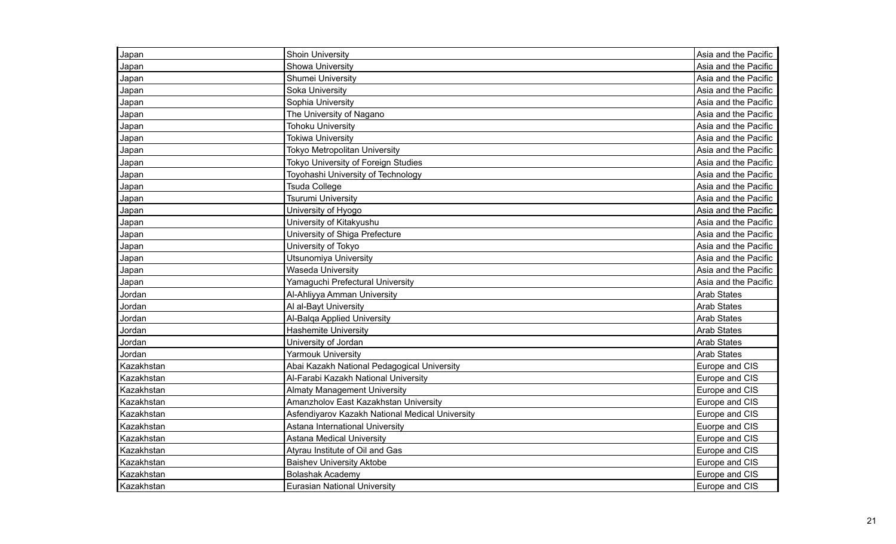| Japan      | <b>Shoin University</b>                         | Asia and the Pacific |
|------------|-------------------------------------------------|----------------------|
| Japan      | Showa University                                | Asia and the Pacific |
| Japan      | Shumei University                               | Asia and the Pacific |
| Japan      | Soka University                                 | Asia and the Pacific |
| Japan      | Sophia University                               | Asia and the Pacific |
| Japan      | The University of Nagano                        | Asia and the Pacific |
| Japan      | <b>Tohoku University</b>                        | Asia and the Pacific |
| Japan      | <b>Tokiwa University</b>                        | Asia and the Pacific |
| Japan      | <b>Tokyo Metropolitan University</b>            | Asia and the Pacific |
| Japan      | <b>Tokyo University of Foreign Studies</b>      | Asia and the Pacific |
| Japan      | Toyohashi University of Technology              | Asia and the Pacific |
| Japan      | <b>Tsuda College</b>                            | Asia and the Pacific |
| Japan      | <b>Tsurumi University</b>                       | Asia and the Pacific |
| Japan      | University of Hyogo                             | Asia and the Pacific |
| Japan      | University of Kitakyushu                        | Asia and the Pacific |
| Japan      | University of Shiga Prefecture                  | Asia and the Pacific |
| Japan      | University of Tokyo                             | Asia and the Pacific |
| Japan      | <b>Utsunomiya University</b>                    | Asia and the Pacific |
| Japan      | <b>Waseda University</b>                        | Asia and the Pacific |
| Japan      | Yamaguchi Prefectural University                | Asia and the Pacific |
| Jordan     | Al-Ahliyya Amman University                     | <b>Arab States</b>   |
| Jordan     | Al al-Bayt University                           | <b>Arab States</b>   |
| Jordan     | Al-Balqa Applied University                     | <b>Arab States</b>   |
| Jordan     | <b>Hashemite University</b>                     | <b>Arab States</b>   |
| Jordan     | University of Jordan                            | <b>Arab States</b>   |
| Jordan     | <b>Yarmouk University</b>                       | <b>Arab States</b>   |
| Kazakhstan | Abai Kazakh National Pedagogical University     | Europe and CIS       |
| Kazakhstan | Al-Farabi Kazakh National University            | Europe and CIS       |
| Kazakhstan | <b>Almaty Management University</b>             | Europe and CIS       |
| Kazakhstan | Amanzholov East Kazakhstan University           | Europe and CIS       |
| Kazakhstan | Asfendiyarov Kazakh National Medical University | Europe and CIS       |
| Kazakhstan | Astana International University                 | Euorpe and CIS       |
| Kazakhstan | <b>Astana Medical University</b>                | Europe and CIS       |
| Kazakhstan | Atyrau Institute of Oil and Gas                 | Europe and CIS       |
| Kazakhstan | <b>Baishev University Aktobe</b>                | Europe and CIS       |
| Kazakhstan | <b>Bolashak Academy</b>                         | Europe and CIS       |
| Kazakhstan | <b>Eurasian National University</b>             | Europe and CIS       |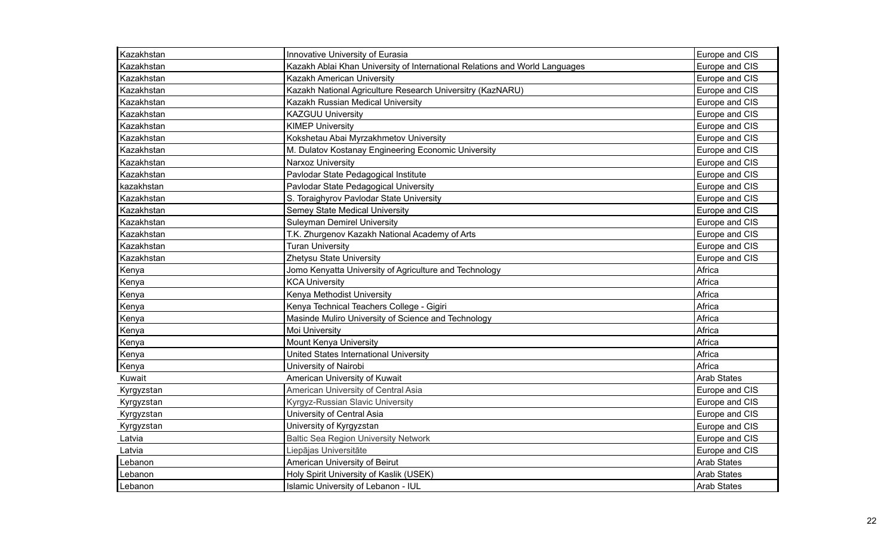| Kazakhstan | Innovative University of Eurasia                                            | Europe and CIS     |
|------------|-----------------------------------------------------------------------------|--------------------|
| Kazakhstan | Kazakh Ablai Khan University of International Relations and World Languages | Europe and CIS     |
| Kazakhstan | Kazakh American University                                                  | Europe and CIS     |
| Kazakhstan | Kazakh National Agriculture Research Universitry (KazNARU)                  | Europe and CIS     |
| Kazakhstan | Kazakh Russian Medical University                                           | Europe and CIS     |
| Kazakhstan | <b>KAZGUU University</b>                                                    | Europe and CIS     |
| Kazakhstan | <b>KIMEP University</b>                                                     | Europe and CIS     |
| Kazakhstan | Kokshetau Abai Myrzakhmetov University                                      | Europe and CIS     |
| Kazakhstan | M. Dulatov Kostanay Engineering Economic University                         | Europe and CIS     |
| Kazakhstan | Narxoz University                                                           | Europe and CIS     |
| Kazakhstan | Pavlodar State Pedagogical Institute                                        | Europe and CIS     |
| kazakhstan | Pavlodar State Pedagogical University                                       | Europe and CIS     |
| Kazakhstan | S. Toraighyrov Pavlodar State University                                    | Europe and CIS     |
| Kazakhstan | Semey State Medical University                                              | Europe and CIS     |
| Kazakhstan | <b>Suleyman Demirel University</b>                                          | Europe and CIS     |
| Kazakhstan | T.K. Zhurgenov Kazakh National Academy of Arts                              | Europe and CIS     |
| Kazakhstan | <b>Turan University</b>                                                     | Europe and CIS     |
| Kazakhstan | Zhetysu State University                                                    | Europe and CIS     |
| Kenya      | Jomo Kenyatta University of Agriculture and Technology                      | Africa             |
| Kenya      | <b>KCA University</b>                                                       | Africa             |
| Kenya      | Kenya Methodist University                                                  | Africa             |
| Kenya      | Kenya Technical Teachers College - Gigiri                                   | Africa             |
| Kenya      | Masinde Muliro University of Science and Technology                         | Africa             |
| Kenya      | Moi University                                                              | Africa             |
| Kenya      | Mount Kenya University                                                      | Africa             |
| Kenya      | United States International University                                      | Africa             |
| Kenya      | University of Nairobi                                                       | Africa             |
| Kuwait     | American University of Kuwait                                               | <b>Arab States</b> |
| Kyrgyzstan | American University of Central Asia                                         | Europe and CIS     |
| Kyrgyzstan | Kyrgyz-Russian Slavic University                                            | Europe and CIS     |
| Kyrgyzstan | University of Central Asia                                                  | Europe and CIS     |
| Kyrgyzstan | University of Kyrgyzstan                                                    | Europe and CIS     |
| Latvia     | <b>Baltic Sea Region University Network</b>                                 | Europe and CIS     |
| Latvia     | Liepājas Universitāte                                                       | Europe and CIS     |
| Lebanon    | American University of Beirut                                               | <b>Arab States</b> |
| Lebanon    | Holy Spirit University of Kaslik (USEK)                                     | <b>Arab States</b> |
| Lebanon    | Islamic University of Lebanon - IUL                                         | <b>Arab States</b> |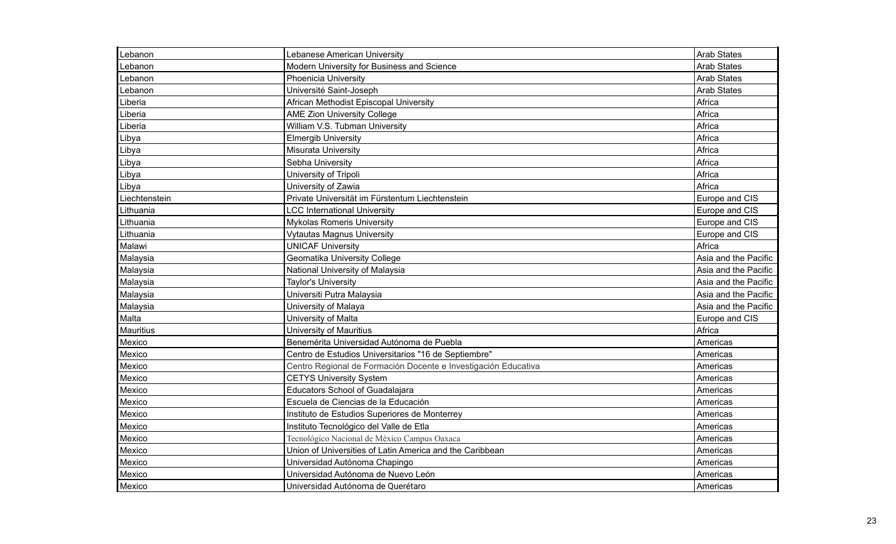| Lebanon          | Lebanese American University                                   | <b>Arab States</b>   |
|------------------|----------------------------------------------------------------|----------------------|
| Lebanon          | Modern University for Business and Science                     | <b>Arab States</b>   |
| Lebanon          | <b>Phoenicia University</b>                                    | <b>Arab States</b>   |
| Lebanon          | Université Saint-Joseph                                        | <b>Arab States</b>   |
| Liberia          | African Methodist Episcopal University                         | Africa               |
| Liberia          | <b>AME Zion University College</b>                             | Africa               |
| Liberia          | William V.S. Tubman University                                 | Africa               |
| Libya            | <b>Elmergib University</b>                                     | Africa               |
| Libya            | Misurata University                                            | Africa               |
| Libya            | Sebha University                                               | Africa               |
| Libya            | University of Tripoli                                          | Africa               |
| Libya            | University of Zawia                                            | Africa               |
| Liechtenstein    | Private Universität im Fürstentum Liechtenstein                | Europe and CIS       |
| Lithuania        | <b>LCC International University</b>                            | Europe and CIS       |
| Lithuania        | <b>Mykolas Romeris University</b>                              | Europe and CIS       |
| Lithuania        | <b>Vytautas Magnus University</b>                              | Europe and CIS       |
| Malawi           | <b>UNICAF University</b>                                       | Africa               |
| Malaysia         | Geomatika University College                                   | Asia and the Pacific |
| Malaysia         | National University of Malaysia                                | Asia and the Pacific |
| Malaysia         | <b>Taylor's University</b>                                     | Asia and the Pacific |
| Malaysia         | Universiti Putra Malaysia                                      | Asia and the Pacific |
| Malaysia         | University of Malaya                                           | Asia and the Pacific |
| Malta            | University of Malta                                            | Europe and CIS       |
| <b>Mauritius</b> | University of Mauritius                                        | Africa               |
| Mexico           | Benemérita Universidad Autónoma de Puebla                      | Americas             |
| Mexico           | Centro de Estudios Universitarios "16 de Septiembre"           | Americas             |
| Mexico           | Centro Regional de Formación Docente e Investigación Educativa | Americas             |
| Mexico           | <b>CETYS University System</b>                                 | Americas             |
| Mexico           | Educators School of Guadalajara                                | Americas             |
| Mexico           | Escuela de Ciencias de la Educación                            | Americas             |
| Mexico           | Instituto de Estudios Superiores de Monterrey                  | Americas             |
| Mexico           | Instituto Tecnológico del Valle de Etla                        | Americas             |
| Mexico           | Tecnológico Nacional de México Campus Oaxaca                   | Americas             |
| Mexico           | Union of Universities of Latin America and the Caribbean       | Americas             |
| Mexico           | Universidad Autónoma Chapingo                                  | Americas             |
| Mexico           | Universidad Autónoma de Nuevo León                             | Americas             |
| Mexico           | Universidad Autónoma de Querétaro                              | Americas             |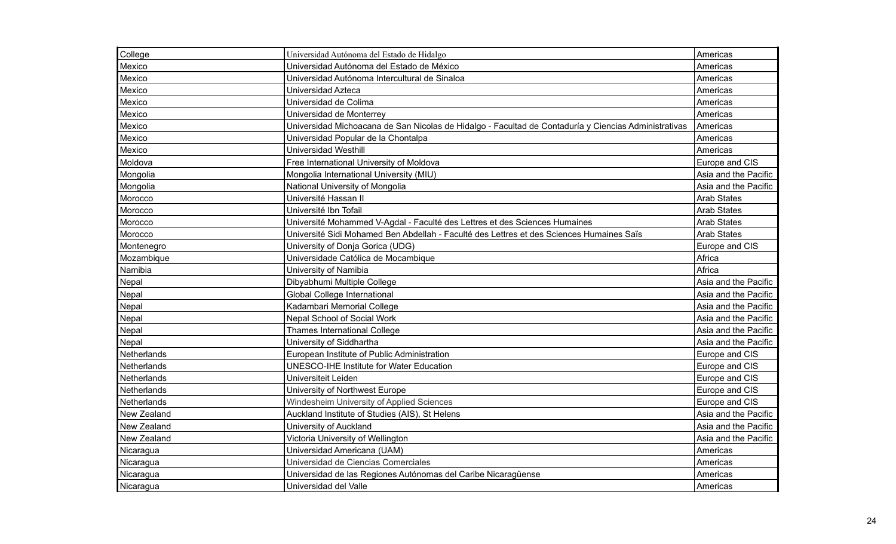| College     | Universidad Autónoma del Estado de Hidalgo                                                           | Americas             |
|-------------|------------------------------------------------------------------------------------------------------|----------------------|
| Mexico      | Universidad Autónoma del Estado de México                                                            | Americas             |
| Mexico      | Universidad Autónoma Intercultural de Sinaloa                                                        | Americas             |
| Mexico      | Universidad Azteca                                                                                   | Americas             |
| Mexico      | Universidad de Colima                                                                                | Americas             |
| Mexico      | Universidad de Monterrey                                                                             | Americas             |
| Mexico      | Universidad Michoacana de San Nicolas de Hidalgo - Facultad de Contaduría y Ciencias Administrativas | Americas             |
| Mexico      | Universidad Popular de la Chontalpa                                                                  | Americas             |
| Mexico      | <b>Universidad Westhill</b>                                                                          | Americas             |
| Moldova     | Free International University of Moldova                                                             | Europe and CIS       |
| Mongolia    | Mongolia International University (MIU)                                                              | Asia and the Pacific |
| Mongolia    | National University of Mongolia                                                                      | Asia and the Pacific |
| Morocco     | Université Hassan II                                                                                 | <b>Arab States</b>   |
| Morocco     | Université Ibn Tofail                                                                                | Arab States          |
| Morocco     | Université Mohammed V-Agdal - Faculté des Lettres et des Sciences Humaines                           | <b>Arab States</b>   |
| Morocco     | Université Sidi Mohamed Ben Abdellah - Faculté des Lettres et des Sciences Humaines Saïs             | <b>Arab States</b>   |
| Montenegro  | University of Donja Gorica (UDG)                                                                     | Europe and CIS       |
| Mozambique  | Universidade Católica de Mocambique                                                                  | Africa               |
| Namibia     | University of Namibia                                                                                | Africa               |
| Nepal       | Dibyabhumi Multiple College                                                                          | Asia and the Pacific |
| Nepal       | Global College International                                                                         | Asia and the Pacific |
| Nepal       | Kadambari Memorial College                                                                           | Asia and the Pacific |
| Nepal       | Nepal School of Social Work                                                                          | Asia and the Pacific |
| Nepal       | <b>Thames International College</b>                                                                  | Asia and the Pacific |
| Nepal       | University of Siddhartha                                                                             | Asia and the Pacific |
| Netherlands | European Institute of Public Administration                                                          | Europe and CIS       |
| Netherlands | <b>UNESCO-IHE Institute for Water Education</b>                                                      | Europe and CIS       |
| Netherlands | Universiteit Leiden                                                                                  | Europe and CIS       |
| Netherlands | University of Northwest Europe                                                                       | Europe and CIS       |
| Netherlands | Windesheim University of Applied Sciences                                                            | Europe and CIS       |
| New Zealand | Auckland Institute of Studies (AIS), St Helens                                                       | Asia and the Pacific |
| New Zealand | University of Auckland                                                                               | Asia and the Pacific |
| New Zealand | Victoria University of Wellington                                                                    | Asia and the Pacific |
| Nicaragua   | Universidad Americana (UAM)                                                                          | Americas             |
| Nicaragua   | Universidad de Ciencias Comerciales                                                                  | Americas             |
| Nicaragua   | Universidad de las Regiones Autónomas del Caribe Nicaragüense                                        | Americas             |
| Nicaragua   | Universidad del Valle                                                                                | Americas             |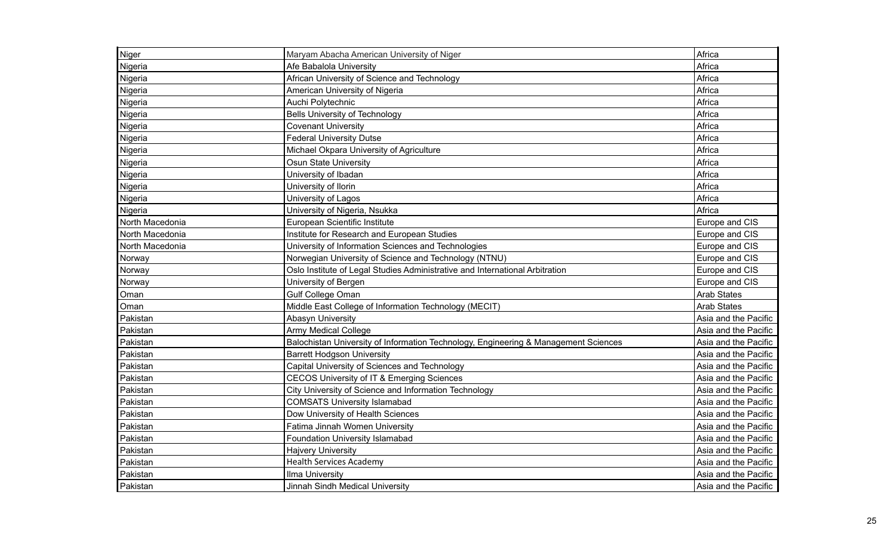| Niger           | Maryam Abacha American University of Niger                                          | Africa               |
|-----------------|-------------------------------------------------------------------------------------|----------------------|
| Nigeria         | Afe Babalola University                                                             | Africa               |
| Nigeria         | African University of Science and Technology                                        | Africa               |
| Nigeria         | American University of Nigeria                                                      | Africa               |
| Nigeria         | Auchi Polytechnic                                                                   | Africa               |
| Nigeria         | <b>Bells University of Technology</b>                                               | Africa               |
| Nigeria         | <b>Covenant University</b>                                                          | Africa               |
| Nigeria         | <b>Federal University Dutse</b>                                                     | Africa               |
| Nigeria         | Michael Okpara University of Agriculture                                            | Africa               |
| Nigeria         | <b>Osun State University</b>                                                        | Africa               |
| Nigeria         | University of Ibadan                                                                | Africa               |
| Nigeria         | University of Ilorin                                                                | Africa               |
| Nigeria         | University of Lagos                                                                 | Africa               |
| Nigeria         | University of Nigeria, Nsukka                                                       | Africa               |
| North Macedonia | European Scientific Institute                                                       | Europe and CIS       |
| North Macedonia | Institute for Research and European Studies                                         | Europe and CIS       |
| North Macedonia | University of Information Sciences and Technologies                                 | Europe and CIS       |
| Norway          | Norwegian University of Science and Technology (NTNU)                               | Europe and CIS       |
| Norway          | Oslo Institute of Legal Studies Administrative and International Arbitration        | Europe and CIS       |
| Norway          | University of Bergen                                                                | Europe and CIS       |
| Oman            | Gulf College Oman                                                                   | <b>Arab States</b>   |
| Oman            | Middle East College of Information Technology (MECIT)                               | <b>Arab States</b>   |
| Pakistan        | <b>Abasyn University</b>                                                            | Asia and the Pacific |
| Pakistan        | Army Medical College                                                                | Asia and the Pacific |
| Pakistan        | Balochistan University of Information Technology, Engineering & Management Sciences | Asia and the Pacific |
| Pakistan        | <b>Barrett Hodgson University</b>                                                   | Asia and the Pacific |
| Pakistan        | Capital University of Sciences and Technology                                       | Asia and the Pacific |
| Pakistan        | <b>CECOS University of IT &amp; Emerging Sciences</b>                               | Asia and the Pacific |
| Pakistan        | City University of Science and Information Technology                               | Asia and the Pacific |
| Pakistan        | <b>COMSATS University Islamabad</b>                                                 | Asia and the Pacific |
| Pakistan        | Dow University of Health Sciences                                                   | Asia and the Pacific |
| Pakistan        | Fatima Jinnah Women University                                                      | Asia and the Pacific |
| Pakistan        | Foundation University Islamabad                                                     | Asia and the Pacific |
| Pakistan        | <b>Hajvery University</b>                                                           | Asia and the Pacific |
| Pakistan        | <b>Health Services Academy</b>                                                      | Asia and the Pacific |
| Pakistan        | Ilma University                                                                     | Asia and the Pacific |
| Pakistan        | Jinnah Sindh Medical University                                                     | Asia and the Pacific |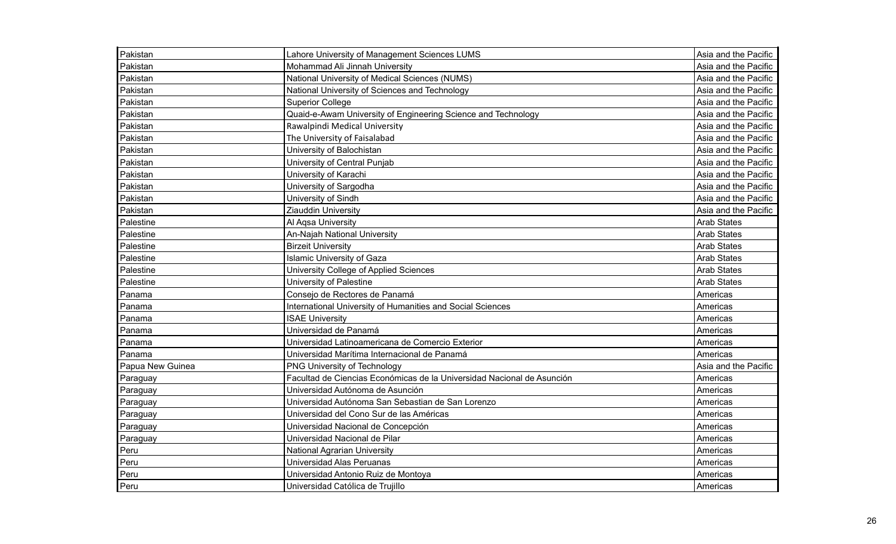| Pakistan         | Lahore University of Management Sciences LUMS                          | Asia and the Pacific |
|------------------|------------------------------------------------------------------------|----------------------|
| Pakistan         | Mohammad Ali Jinnah University                                         | Asia and the Pacific |
| Pakistan         | National University of Medical Sciences (NUMS)                         | Asia and the Pacific |
| Pakistan         | National University of Sciences and Technology                         | Asia and the Pacific |
| Pakistan         | <b>Superior College</b>                                                | Asia and the Pacific |
| Pakistan         | Quaid-e-Awam University of Engineering Science and Technology          | Asia and the Pacific |
| Pakistan         | Rawalpindi Medical University                                          | Asia and the Pacific |
| Pakistan         | The University of Faisalabad                                           | Asia and the Pacific |
| Pakistan         | University of Balochistan                                              | Asia and the Pacific |
| Pakistan         | University of Central Punjab                                           | Asia and the Pacific |
| Pakistan         | University of Karachi                                                  | Asia and the Pacific |
| Pakistan         | University of Sargodha                                                 | Asia and the Pacific |
| Pakistan         | University of Sindh                                                    | Asia and the Pacific |
| Pakistan         | <b>Ziauddin University</b>                                             | Asia and the Pacific |
| Palestine        | Al Aqsa University                                                     | <b>Arab States</b>   |
| Palestine        | An-Najah National University                                           | <b>Arab States</b>   |
| Palestine        | <b>Birzeit University</b>                                              | <b>Arab States</b>   |
| Palestine        | <b>Islamic University of Gaza</b>                                      | <b>Arab States</b>   |
| Palestine        | University College of Applied Sciences                                 | <b>Arab States</b>   |
| Palestine        | University of Palestine                                                | <b>Arab States</b>   |
| Panama           | Consejo de Rectores de Panamá                                          | Americas             |
| Panama           | International University of Humanities and Social Sciences             | Americas             |
| Panama           | <b>ISAE University</b>                                                 | Americas             |
| Panama           | Universidad de Panamá                                                  | Americas             |
| Panama           | Universidad Latinoamericana de Comercio Exterior                       | Americas             |
| Panama           | Universidad Marítima Internacional de Panamá                           | Americas             |
| Papua New Guinea | PNG University of Technology                                           | Asia and the Pacific |
| Paraguay         | Facultad de Ciencias Económicas de la Universidad Nacional de Asunción | Americas             |
| Paraguay         | Universidad Autónoma de Asunción                                       | Americas             |
| Paraguay         | Universidad Autónoma San Sebastian de San Lorenzo                      | Americas             |
| Paraguay         | Universidad del Cono Sur de las Américas                               | Americas             |
| Paraguay         | Universidad Nacional de Concepción                                     | Americas             |
| Paraguay         | Universidad Nacional de Pilar                                          | Americas             |
| Peru             | <b>National Agrarian University</b>                                    | Americas             |
| Peru             | Universidad Alas Peruanas                                              | Americas             |
| Peru             | Universidad Antonio Ruiz de Montoya                                    | Americas             |
| Peru             | Universidad Católica de Trujillo                                       | Americas             |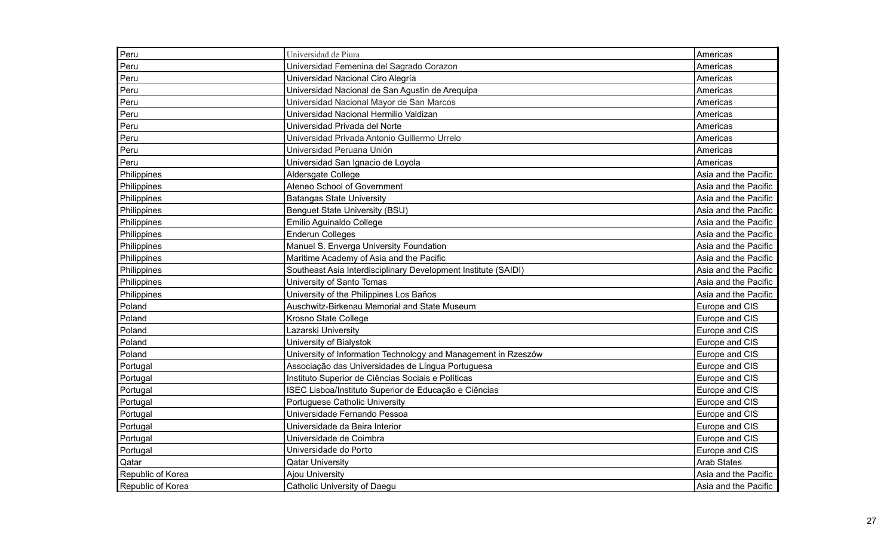| Peru              | Universidad de Piura                                           | Americas             |
|-------------------|----------------------------------------------------------------|----------------------|
| Peru              | Universidad Femenina del Sagrado Corazon                       | Americas             |
| Peru              | Universidad Nacional Ciro Alegría                              | Americas             |
| Peru              | Universidad Nacional de San Agustin de Arequipa                | Americas             |
| Peru              | Universidad Nacional Mayor de San Marcos                       | Americas             |
| Peru              | Universidad Nacional Hermilio Valdizan                         | Americas             |
| Peru              | Universidad Privada del Norte                                  | Americas             |
| Peru              | Universidad Privada Antonio Guillermo Urrelo                   | Americas             |
| Peru              | Universidad Peruana Unión                                      | Americas             |
| Peru              | Universidad San Ignacio de Loyola                              | Americas             |
| Philippines       | Aldersgate College                                             | Asia and the Pacific |
| Philippines       | Ateneo School of Government                                    | Asia and the Pacific |
| Philippines       | <b>Batangas State University</b>                               | Asia and the Pacific |
| Philippines       | <b>Benguet State University (BSU)</b>                          | Asia and the Pacific |
| Philippines       | Emilio Aguinaldo College                                       | Asia and the Pacific |
| Philippines       | <b>Enderun Colleges</b>                                        | Asia and the Pacific |
| Philippines       | Manuel S. Enverga University Foundation                        | Asia and the Pacific |
| Philippines       | Maritime Academy of Asia and the Pacific                       | Asia and the Pacific |
| Philippines       | Southeast Asia Interdisciplinary Development Institute (SAIDI) | Asia and the Pacific |
| Philippines       | University of Santo Tomas                                      | Asia and the Pacific |
| Philippines       | University of the Philippines Los Baños                        | Asia and the Pacific |
| Poland            | Auschwitz-Birkenau Memorial and State Museum                   | Europe and CIS       |
| Poland            | Krosno State College                                           | Europe and CIS       |
| Poland            | Lazarski University                                            | Europe and CIS       |
| Poland            | University of Bialystok                                        | Europe and CIS       |
| Poland            | University of Information Technology and Management in Rzeszów | Europe and CIS       |
| Portugal          | Associação das Universidades de Língua Portuguesa              | Europe and CIS       |
| Portugal          | Instituto Superior de Ciências Sociais e Políticas             | Europe and CIS       |
| Portugal          | ISEC Lisboa/Instituto Superior de Educação e Ciências          | Europe and CIS       |
| Portugal          | Portuguese Catholic University                                 | Europe and CIS       |
| Portugal          | Universidade Fernando Pessoa                                   | Europe and CIS       |
| Portugal          | Universidade da Beira Interior                                 | Europe and CIS       |
| Portugal          | Universidade de Coimbra                                        | Europe and CIS       |
| Portugal          | Universidade do Porto                                          | Europe and CIS       |
| Qatar             | <b>Qatar University</b>                                        | <b>Arab States</b>   |
| Republic of Korea | Ajou University                                                | Asia and the Pacific |
| Republic of Korea | Catholic University of Daegu                                   | Asia and the Pacific |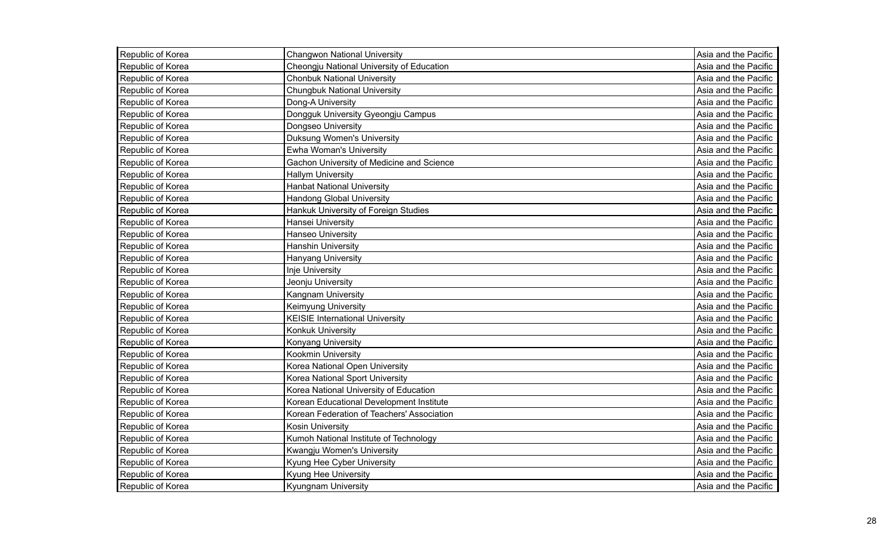| Republic of Korea | <b>Changwon National University</b>        | Asia and the Pacific |
|-------------------|--------------------------------------------|----------------------|
| Republic of Korea | Cheongju National University of Education  | Asia and the Pacific |
| Republic of Korea | <b>Chonbuk National University</b>         | Asia and the Pacific |
| Republic of Korea | <b>Chungbuk National University</b>        | Asia and the Pacific |
| Republic of Korea | Dong-A University                          | Asia and the Pacific |
| Republic of Korea | Dongguk University Gyeongju Campus         | Asia and the Pacific |
| Republic of Korea | Dongseo University                         | Asia and the Pacific |
| Republic of Korea | Duksung Women's University                 | Asia and the Pacific |
| Republic of Korea | Ewha Woman's University                    | Asia and the Pacific |
| Republic of Korea | Gachon University of Medicine and Science  | Asia and the Pacific |
| Republic of Korea | <b>Hallym University</b>                   | Asia and the Pacific |
| Republic of Korea | <b>Hanbat National University</b>          | Asia and the Pacific |
| Republic of Korea | <b>Handong Global University</b>           | Asia and the Pacific |
| Republic of Korea | Hankuk University of Foreign Studies       | Asia and the Pacific |
| Republic of Korea | Hansei University                          | Asia and the Pacific |
| Republic of Korea | Hanseo University                          | Asia and the Pacific |
| Republic of Korea | <b>Hanshin University</b>                  | Asia and the Pacific |
| Republic of Korea | Hanyang University                         | Asia and the Pacific |
| Republic of Korea | <b>Inje University</b>                     | Asia and the Pacific |
| Republic of Korea | Jeonju University                          | Asia and the Pacific |
| Republic of Korea | Kangnam University                         | Asia and the Pacific |
| Republic of Korea | Keimyung University                        | Asia and the Pacific |
| Republic of Korea | <b>KEISIE International University</b>     | Asia and the Pacific |
| Republic of Korea | Konkuk University                          | Asia and the Pacific |
| Republic of Korea | Konyang University                         | Asia and the Pacific |
| Republic of Korea | Kookmin University                         | Asia and the Pacific |
| Republic of Korea | Korea National Open University             | Asia and the Pacific |
| Republic of Korea | Korea National Sport University            | Asia and the Pacific |
| Republic of Korea | Korea National University of Education     | Asia and the Pacific |
| Republic of Korea | Korean Educational Development Institute   | Asia and the Pacific |
| Republic of Korea | Korean Federation of Teachers' Association | Asia and the Pacific |
| Republic of Korea | Kosin University                           | Asia and the Pacific |
| Republic of Korea | Kumoh National Institute of Technology     | Asia and the Pacific |
| Republic of Korea | Kwangju Women's University                 | Asia and the Pacific |
| Republic of Korea | Kyung Hee Cyber University                 | Asia and the Pacific |
| Republic of Korea | Kyung Hee University                       | Asia and the Pacific |
| Republic of Korea | Kyungnam University                        | Asia and the Pacific |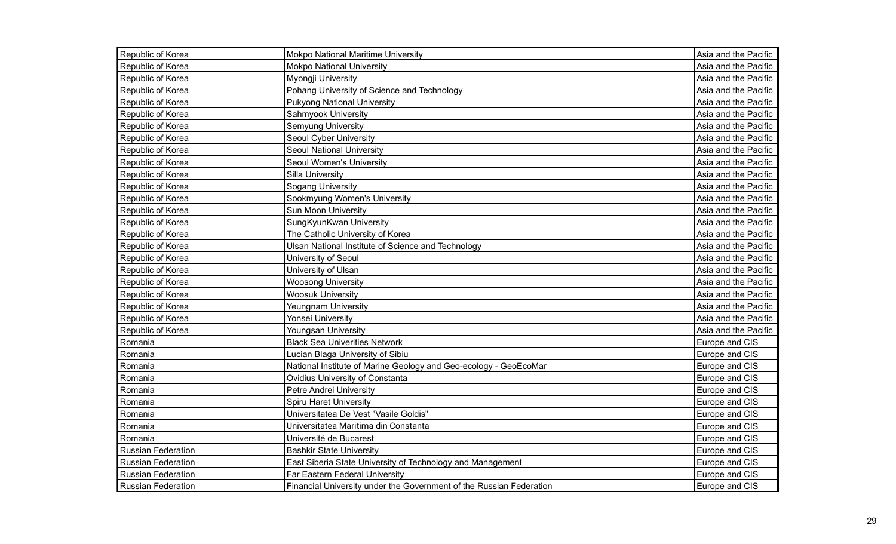| Republic of Korea         | <b>Mokpo National Maritime University</b>                           | Asia and the Pacific |
|---------------------------|---------------------------------------------------------------------|----------------------|
| Republic of Korea         | <b>Mokpo National University</b>                                    | Asia and the Pacific |
| Republic of Korea         | Myongji University                                                  | Asia and the Pacific |
| Republic of Korea         | Pohang University of Science and Technology                         | Asia and the Pacific |
| Republic of Korea         | <b>Pukyong National University</b>                                  | Asia and the Pacific |
| Republic of Korea         | Sahmyook University                                                 | Asia and the Pacific |
| Republic of Korea         | Semyung University                                                  | Asia and the Pacific |
| Republic of Korea         | Seoul Cyber University                                              | Asia and the Pacific |
| Republic of Korea         | Seoul National University                                           | Asia and the Pacific |
| Republic of Korea         | Seoul Women's University                                            | Asia and the Pacific |
| Republic of Korea         | Silla University                                                    | Asia and the Pacific |
| Republic of Korea         | <b>Sogang University</b>                                            | Asia and the Pacific |
| Republic of Korea         | Sookmyung Women's University                                        | Asia and the Pacific |
| Republic of Korea         | Sun Moon University                                                 | Asia and the Pacific |
| Republic of Korea         | SungKyunKwan University                                             | Asia and the Pacific |
| Republic of Korea         | The Catholic University of Korea                                    | Asia and the Pacific |
| Republic of Korea         | Ulsan National Institute of Science and Technology                  | Asia and the Pacific |
| Republic of Korea         | University of Seoul                                                 | Asia and the Pacific |
| Republic of Korea         | University of Ulsan                                                 | Asia and the Pacific |
| Republic of Korea         | <b>Woosong University</b>                                           | Asia and the Pacific |
| Republic of Korea         | <b>Woosuk University</b>                                            | Asia and the Pacific |
| Republic of Korea         | Yeungnam University                                                 | Asia and the Pacific |
| Republic of Korea         | Yonsei University                                                   | Asia and the Pacific |
| Republic of Korea         | Youngsan University                                                 | Asia and the Pacific |
| Romania                   | <b>Black Sea Univerities Network</b>                                | Europe and CIS       |
| Romania                   | Lucian Blaga University of Sibiu                                    | Europe and CIS       |
| Romania                   | National Institute of Marine Geology and Geo-ecology - GeoEcoMar    | Europe and CIS       |
| Romania                   | Ovidius University of Constanta                                     | Europe and CIS       |
| Romania                   | Petre Andrei University                                             | Europe and CIS       |
| Romania                   | <b>Spiru Haret University</b>                                       | Europe and CIS       |
| Romania                   | Universitatea De Vest "Vasile Goldis"                               | Europe and CIS       |
| Romania                   | Universitatea Maritima din Constanta                                | Europe and CIS       |
| Romania                   | Université de Bucarest                                              | Europe and CIS       |
| <b>Russian Federation</b> | <b>Bashkir State University</b>                                     | Europe and CIS       |
| <b>Russian Federation</b> | East Siberia State University of Technology and Management          | Europe and CIS       |
| <b>Russian Federation</b> | Far Eastern Federal University                                      | Europe and CIS       |
| <b>Russian Federation</b> | Financial University under the Government of the Russian Federation | Europe and CIS       |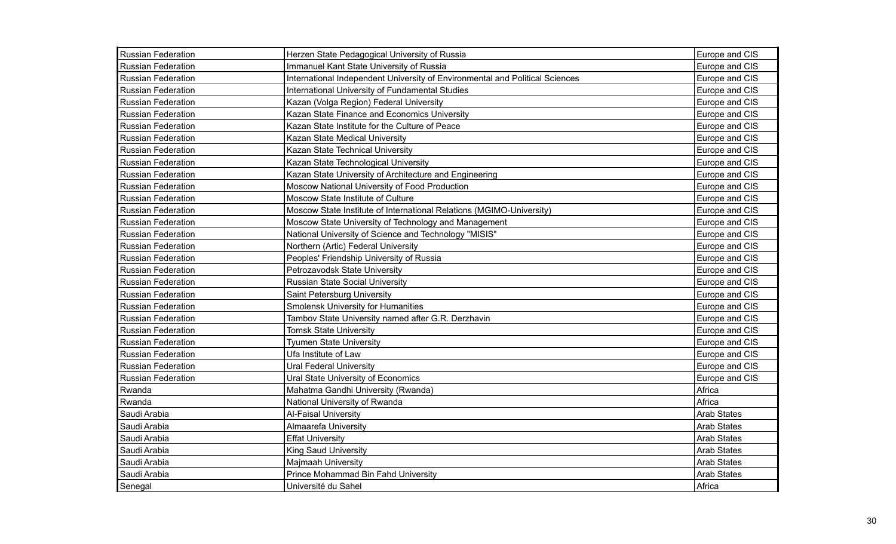| <b>Russian Federation</b> | Herzen State Pedagogical University of Russia                                | Europe and CIS     |
|---------------------------|------------------------------------------------------------------------------|--------------------|
| <b>Russian Federation</b> | Immanuel Kant State University of Russia                                     | Europe and CIS     |
| <b>Russian Federation</b> | International Independent University of Environmental and Political Sciences | Europe and CIS     |
| <b>Russian Federation</b> | International University of Fundamental Studies                              | Europe and CIS     |
| <b>Russian Federation</b> | Kazan (Volga Region) Federal University                                      | Europe and CIS     |
| <b>Russian Federation</b> | Kazan State Finance and Economics University                                 | Europe and CIS     |
| <b>Russian Federation</b> | Kazan State Institute for the Culture of Peace                               | Europe and CIS     |
| <b>Russian Federation</b> | Kazan State Medical University                                               | Europe and CIS     |
| <b>Russian Federation</b> | Kazan State Technical University                                             | Europe and CIS     |
| <b>Russian Federation</b> | Kazan State Technological University                                         | Europe and CIS     |
| Russian Federation        | Kazan State University of Architecture and Engineering                       | Europe and CIS     |
| <b>Russian Federation</b> | Moscow National University of Food Production                                | Europe and CIS     |
| <b>Russian Federation</b> | Moscow State Institute of Culture                                            | Europe and CIS     |
| Russian Federation        | Moscow State Institute of International Relations (MGIMO-University)         | Europe and CIS     |
| <b>Russian Federation</b> | Moscow State University of Technology and Management                         | Europe and CIS     |
| <b>Russian Federation</b> | National University of Science and Technology "MISIS"                        | Europe and CIS     |
| <b>Russian Federation</b> | Northern (Artic) Federal University                                          | Europe and CIS     |
| <b>Russian Federation</b> | Peoples' Friendship University of Russia                                     | Europe and CIS     |
| <b>Russian Federation</b> | Petrozavodsk State University                                                | Europe and CIS     |
| <b>Russian Federation</b> | <b>Russian State Social University</b>                                       | Europe and CIS     |
| <b>Russian Federation</b> | Saint Petersburg University                                                  | Europe and CIS     |
| <b>Russian Federation</b> | <b>Smolensk University for Humanities</b>                                    | Europe and CIS     |
| <b>Russian Federation</b> | Tambov State University named after G.R. Derzhavin                           | Europe and CIS     |
| <b>Russian Federation</b> | <b>Tomsk State University</b>                                                | Europe and CIS     |
| <b>Russian Federation</b> | <b>Tyumen State University</b>                                               | Europe and CIS     |
| <b>Russian Federation</b> | Ufa Institute of Law                                                         | Europe and CIS     |
| <b>Russian Federation</b> | <b>Ural Federal University</b>                                               | Europe and CIS     |
| <b>Russian Federation</b> | Ural State University of Economics                                           | Europe and CIS     |
| Rwanda                    | Mahatma Gandhi University (Rwanda)                                           | Africa             |
| Rwanda                    | National University of Rwanda                                                | Africa             |
| Saudi Arabia              | <b>Al-Faisal University</b>                                                  | <b>Arab States</b> |
| Saudi Arabia              | <b>Almaarefa University</b>                                                  | <b>Arab States</b> |
| Saudi Arabia              | <b>Effat University</b>                                                      | <b>Arab States</b> |
| Saudi Arabia              | <b>King Saud University</b>                                                  | Arab States        |
| Saudi Arabia              | Majmaah University                                                           | <b>Arab States</b> |
| Saudi Arabia              | Prince Mohammad Bin Fahd University                                          | <b>Arab States</b> |
| Senegal                   | Université du Sahel                                                          | Africa             |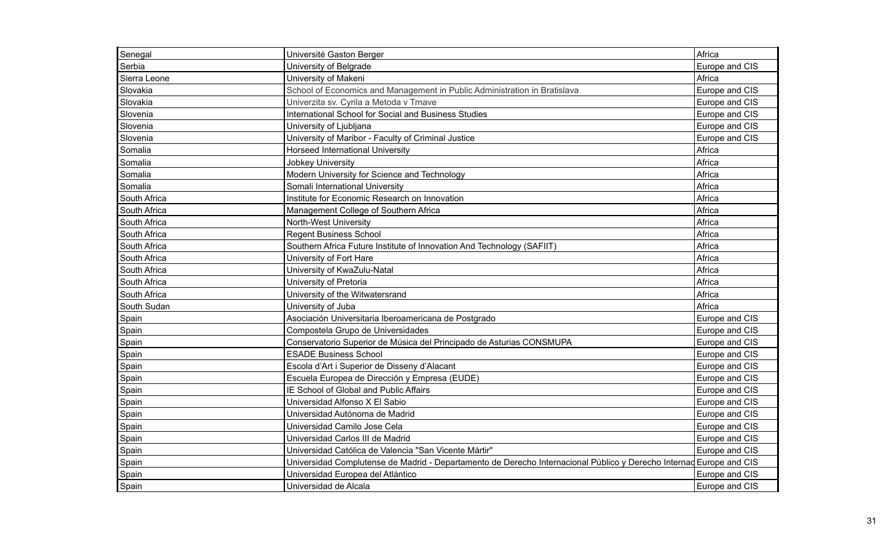| Senegal      | Université Gaston Berger                                                                                            | Africa         |
|--------------|---------------------------------------------------------------------------------------------------------------------|----------------|
| Serbia       | University of Belgrade                                                                                              | Europe and CIS |
| Sierra Leone | University of Makeni                                                                                                | Africa         |
| Slovakia     | School of Economics and Management in Public Administration in Bratislava                                           | Europe and CIS |
| Slovakia     | Univerzita sv. Cyrila a Metoda v Trnave                                                                             | Europe and CIS |
| Slovenia     | International School for Social and Business Studies                                                                | Europe and CIS |
| Slovenia     | University of Ljubljana                                                                                             | Europe and CIS |
| Slovenia     | University of Maribor - Faculty of Criminal Justice                                                                 | Europe and CIS |
| Somalia      | <b>Horseed International University</b>                                                                             | Africa         |
| Somalia      | <b>Jobkey University</b>                                                                                            | Africa         |
| Somalia      | Modern University for Science and Technology                                                                        | Africa         |
| Somalia      | Somali International University                                                                                     | Africa         |
| South Africa | Institute for Economic Research on Innovation                                                                       | Africa         |
| South Africa | Management College of Southern Africa                                                                               | Africa         |
| South Africa | North-West University                                                                                               | Africa         |
| South Africa | <b>Regent Business School</b>                                                                                       | Africa         |
| South Africa | Southern Africa Future Institute of Innovation And Technology (SAFIIT)                                              | Africa         |
| South Africa | University of Fort Hare                                                                                             | Africa         |
| South Africa | University of KwaZulu-Natal                                                                                         | Africa         |
| South Africa | University of Pretoria                                                                                              | Africa         |
| South Africa | University of the Witwatersrand                                                                                     | Africa         |
| South Sudan  | University of Juba                                                                                                  | Africa         |
| Spain        | Asociación Universitaria Iberoamericana de Postgrado                                                                | Europe and CIS |
| Spain        | Compostela Grupo de Universidades                                                                                   | Europe and CIS |
| Spain        | Conservatorio Superior de Música del Principado de Asturias CONSMUPA                                                | Europe and CIS |
| Spain        | <b>ESADE Business School</b>                                                                                        | Europe and CIS |
| Spain        | Escola d'Art i Superior de Disseny d'Alacant                                                                        | Europe and CIS |
| Spain        | Escuela Europea de Dirección y Empresa (EUDE)                                                                       | Europe and CIS |
| Spain        | IE School of Global and Public Affairs                                                                              | Europe and CIS |
| Spain        | Universidad Alfonso X El Sabio                                                                                      | Europe and CIS |
| Spain        | Universidad Autónoma de Madrid                                                                                      | Europe and CIS |
| Spain        | Universidad Camilo Jose Cela                                                                                        | Europe and CIS |
| Spain        | Universidad Carlos III de Madrid                                                                                    | Europe and CIS |
| Spain        | Universidad Católica de Valencia "San Vicente Mártir"                                                               | Europe and CIS |
| Spain        | Universidad Complutense de Madrid - Departamento de Derecho Internacional Público y Derecho Internad Europe and CIS |                |
| Spain        | Universidad Europea del Atlántico                                                                                   | Europe and CIS |
| Spain        | Universidad de Alcala                                                                                               | Europe and CIS |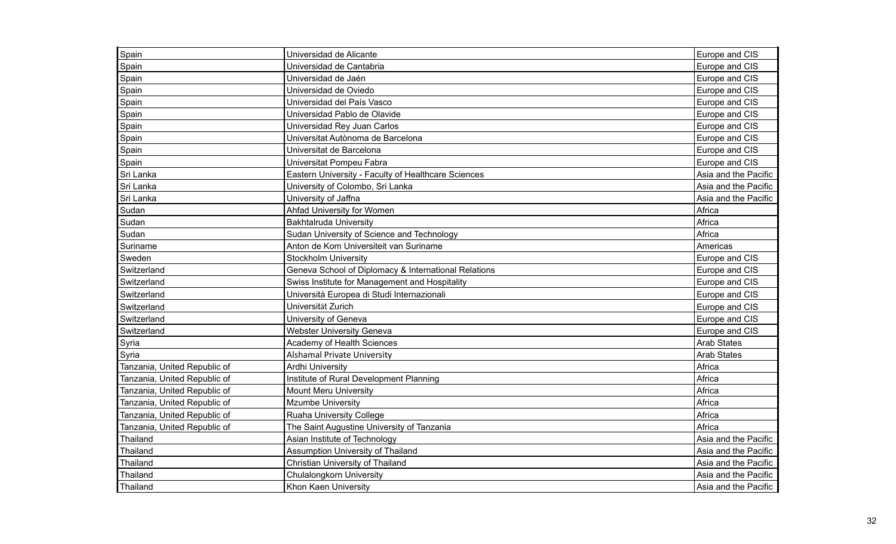| Spain                        | Universidad de Alicante                              | Europe and CIS       |
|------------------------------|------------------------------------------------------|----------------------|
| Spain                        | Universidad de Cantabria                             | Europe and CIS       |
| Spain                        | Universidad de Jaén                                  | Europe and CIS       |
| Spain                        | Universidad de Oviedo                                | Europe and CIS       |
| Spain                        | Universidad del País Vasco                           | Europe and CIS       |
| Spain                        | Universidad Pablo de Olavide                         | Europe and CIS       |
| Spain                        | Universidad Rey Juan Carlos                          | Europe and CIS       |
| Spain                        | Universitat Autònoma de Barcelona                    | Europe and CIS       |
| Spain                        | Universitat de Barcelona                             | Europe and CIS       |
| Spain                        | Universitat Pompeu Fabra                             | Europe and CIS       |
| Sri Lanka                    | Eastern University - Faculty of Healthcare Sciences  | Asia and the Pacific |
| Sri Lanka                    | University of Colombo, Sri Lanka                     | Asia and the Pacific |
| Sri Lanka                    | University of Jaffna                                 | Asia and the Pacific |
| Sudan                        | Ahfad University for Women                           | Africa               |
| Sudan                        | <b>Bakhtalruda University</b>                        | Africa               |
| Sudan                        | Sudan University of Science and Technology           | Africa               |
| Suriname                     | Anton de Kom Universiteit van Suriname               | Americas             |
| Sweden                       | <b>Stockholm University</b>                          | Europe and CIS       |
| Switzerland                  | Geneva School of Diplomacy & International Relations | Europe and CIS       |
| Switzerland                  | Swiss Institute for Management and Hospitality       | Europe and CIS       |
| Switzerland                  | Università Europea di Studi Internazionali           | Europe and CIS       |
| Switzerland                  | Universität Zurich                                   | Europe and CIS       |
| Switzerland                  | University of Geneva                                 | Europe and CIS       |
| Switzerland                  | <b>Webster University Geneva</b>                     | Europe and CIS       |
| Syria                        | Academy of Health Sciences                           | <b>Arab States</b>   |
| Syria                        | <b>Alshamal Private University</b>                   | <b>Arab States</b>   |
| Tanzania, United Republic of | Ardhi University                                     | Africa               |
| Tanzania, United Republic of | Institute of Rural Development Planning              | Africa               |
| Tanzania, United Republic of | <b>Mount Meru University</b>                         | Africa               |
| Tanzania, United Republic of | <b>Mzumbe University</b>                             | Africa               |
| Tanzania, United Republic of | <b>Ruaha University College</b>                      | Africa               |
| Tanzania, United Republic of | The Saint Augustine University of Tanzania           | Africa               |
| Thailand                     | Asian Institute of Technology                        | Asia and the Pacific |
| Thailand                     | Assumption University of Thailand                    | Asia and the Pacific |
| Thailand                     | Christian University of Thailand                     | Asia and the Pacific |
| Thailand                     | Chulalongkorn University                             | Asia and the Pacific |
| Thailand                     | Khon Kaen University                                 | Asia and the Pacific |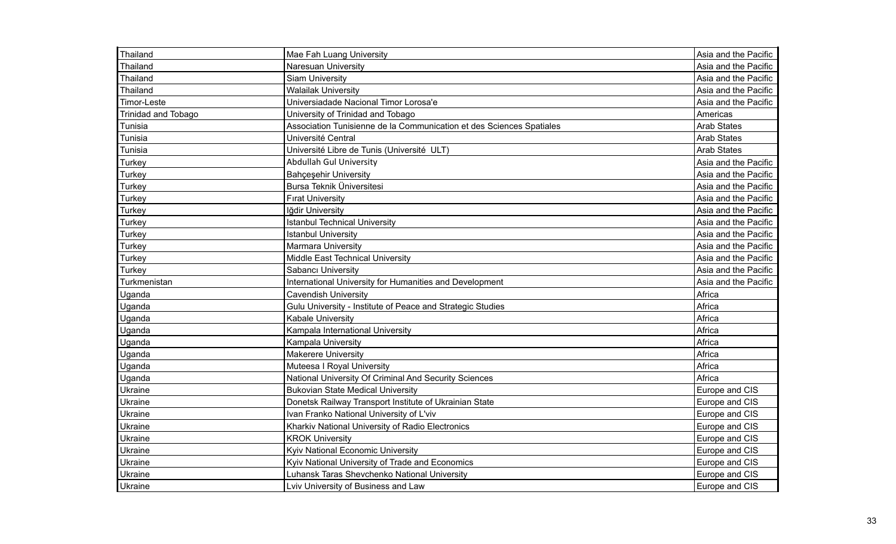| Thailand            | Mae Fah Luang University                                             | Asia and the Pacific |
|---------------------|----------------------------------------------------------------------|----------------------|
| Thailand            | Naresuan University                                                  | Asia and the Pacific |
| Thailand            | <b>Siam University</b>                                               | Asia and the Pacific |
| Thailand            | <b>Walailak University</b>                                           | Asia and the Pacific |
| Timor-Leste         | Universiadade Nacional Timor Lorosa'e                                | Asia and the Pacific |
| Trinidad and Tobago | University of Trinidad and Tobago                                    | Americas             |
| Tunisia             | Association Tunisienne de la Communication et des Sciences Spatiales | <b>Arab States</b>   |
| Tunisia             | Université Central                                                   | <b>Arab States</b>   |
| Tunisia             | Université Libre de Tunis (Université ULT)                           | <b>Arab States</b>   |
| Turkey              | <b>Abdullah Gul University</b>                                       | Asia and the Pacific |
| Turkey              | <b>Bahçeşehir University</b>                                         | Asia and the Pacific |
| Turkey              | Bursa Teknik Üniversitesi                                            | Asia and the Pacific |
| Turkey              | <b>Firat University</b>                                              | Asia and the Pacific |
| Turkey              | Iğdir University                                                     | Asia and the Pacific |
| Turkey              | <b>Istanbul Technical University</b>                                 | Asia and the Pacific |
| Turkey              | <b>Istanbul University</b>                                           | Asia and the Pacific |
| Turkey              | <b>Marmara University</b>                                            | Asia and the Pacific |
| Turkey              | Middle East Technical University                                     | Asia and the Pacific |
| Turkey              | Sabancı University                                                   | Asia and the Pacific |
| Turkmenistan        | International University for Humanities and Development              | Asia and the Pacific |
| Uganda              | Cavendish University                                                 | Africa               |
| Uganda              | Gulu University - Institute of Peace and Strategic Studies           | Africa               |
| Uganda              | Kabale University                                                    | Africa               |
| Uganda              | Kampala International University                                     | Africa               |
| Uganda              | Kampala University                                                   | Africa               |
| Uganda              | <b>Makerere University</b>                                           | Africa               |
| Uganda              | Muteesa I Royal University                                           | Africa               |
| Uganda              | National University Of Criminal And Security Sciences                | Africa               |
| Ukraine             | <b>Bukovian State Medical University</b>                             | Europe and CIS       |
| Ukraine             | Donetsk Railway Transport Institute of Ukrainian State               | Europe and CIS       |
| Ukraine             | Ivan Franko National University of L'viv                             | Europe and CIS       |
| Ukraine             | Kharkiv National University of Radio Electronics                     | Europe and CIS       |
| Ukraine             | <b>KROK University</b>                                               | Europe and CIS       |
| Ukraine             | Kyiv National Economic University                                    | Europe and CIS       |
| Ukraine             | Kyiv National University of Trade and Economics                      | Europe and CIS       |
| Ukraine             | Luhansk Taras Shevchenko National University                         | Europe and CIS       |
| Ukraine             | Lviv University of Business and Law                                  | Europe and CIS       |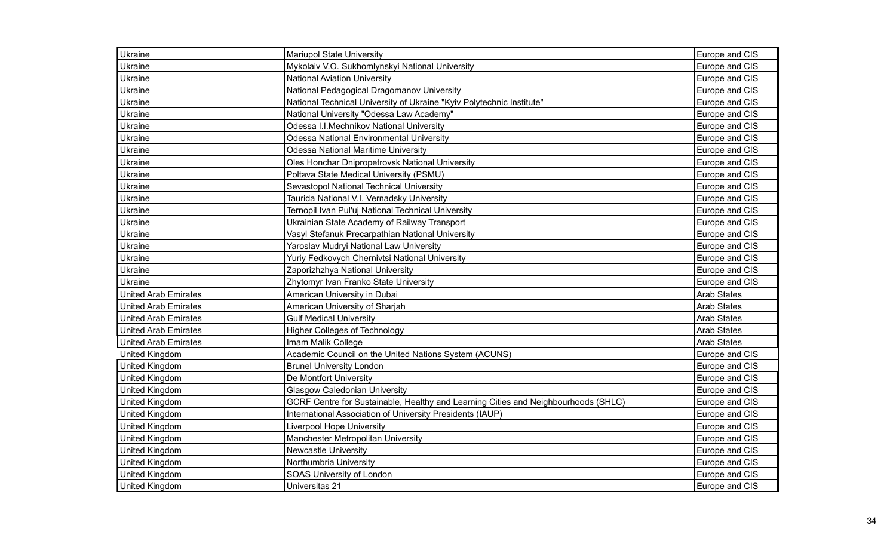| <b>Ukraine</b>              | Mariupol State University                                                          | Europe and CIS     |
|-----------------------------|------------------------------------------------------------------------------------|--------------------|
| Ukraine                     | Mykolaiv V.O. Sukhomlynskyi National University                                    | Europe and CIS     |
| Ukraine                     | <b>National Aviation University</b>                                                | Europe and CIS     |
| Ukraine                     | National Pedagogical Dragomanov University                                         | Europe and CIS     |
| Ukraine                     | National Technical University of Ukraine "Kyiv Polytechnic Institute"              | Europe and CIS     |
| Ukraine                     | National University "Odessa Law Academy"                                           | Europe and CIS     |
| Ukraine                     | Odessa I.I.Mechnikov National University                                           | Europe and CIS     |
| Ukraine                     | <b>Odessa National Environmental University</b>                                    | Europe and CIS     |
| Ukraine                     | <b>Odessa National Maritime University</b>                                         | Europe and CIS     |
| Ukraine                     | Oles Honchar Dnipropetrovsk National University                                    | Europe and CIS     |
| Ukraine                     | Poltava State Medical University (PSMU)                                            | Europe and CIS     |
| Ukraine                     | Sevastopol National Technical University                                           | Europe and CIS     |
| Ukraine                     | Taurida National V.I. Vernadsky University                                         | Europe and CIS     |
| Ukraine                     | Ternopil Ivan Pul'uj National Technical University                                 | Europe and CIS     |
| Ukraine                     | Ukrainian State Academy of Railway Transport                                       | Europe and CIS     |
| Ukraine                     | Vasyl Stefanuk Precarpathian National University                                   | Europe and CIS     |
| Ukraine                     | Yaroslav Mudryi National Law University                                            | Europe and CIS     |
| Ukraine                     | Yuriy Fedkovych Chernivtsi National University                                     | Europe and CIS     |
| Ukraine                     | Zaporizhzhya National University                                                   | Europe and CIS     |
| Ukraine                     | Zhytomyr Ivan Franko State University                                              | Europe and CIS     |
| <b>United Arab Emirates</b> | American University in Dubai                                                       | <b>Arab States</b> |
| <b>United Arab Emirates</b> | American University of Sharjah                                                     | <b>Arab States</b> |
| <b>United Arab Emirates</b> | <b>Gulf Medical University</b>                                                     | <b>Arab States</b> |
| <b>United Arab Emirates</b> | <b>Higher Colleges of Technology</b>                                               | <b>Arab States</b> |
| <b>United Arab Emirates</b> | Imam Malik College                                                                 | <b>Arab States</b> |
| United Kingdom              | Academic Council on the United Nations System (ACUNS)                              | Europe and CIS     |
| <b>United Kingdom</b>       | <b>Brunel University London</b>                                                    | Europe and CIS     |
| <b>United Kingdom</b>       | De Montfort University                                                             | Europe and CIS     |
| <b>United Kingdom</b>       | <b>Glasgow Caledonian University</b>                                               | Europe and CIS     |
| <b>United Kingdom</b>       | GCRF Centre for Sustainable, Healthy and Learning Cities and Neighbourhoods (SHLC) | Europe and CIS     |
| <b>United Kingdom</b>       | International Association of University Presidents (IAUP)                          | Europe and CIS     |
| <b>United Kingdom</b>       | <b>Liverpool Hope University</b>                                                   | Europe and CIS     |
| United Kingdom              | Manchester Metropolitan University                                                 | Europe and CIS     |
| <b>United Kingdom</b>       | <b>Newcastle University</b>                                                        | Europe and CIS     |
| <b>United Kingdom</b>       | Northumbria University                                                             | Europe and CIS     |
| <b>United Kingdom</b>       | SOAS University of London                                                          | Europe and CIS     |
| <b>United Kingdom</b>       | Universitas 21                                                                     | Europe and CIS     |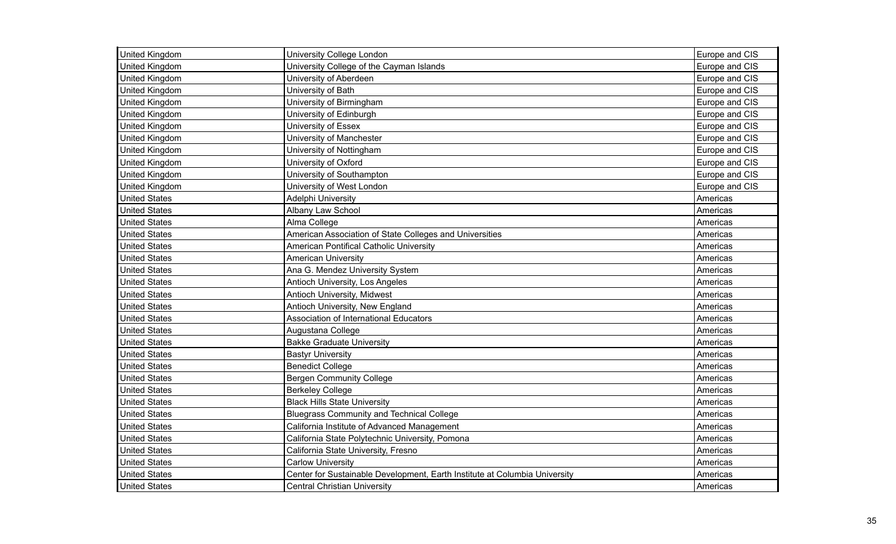| United Kingdom       | University College London                                                  | Europe and CIS |
|----------------------|----------------------------------------------------------------------------|----------------|
| United Kingdom       | University College of the Cayman Islands                                   | Europe and CIS |
| United Kingdom       | University of Aberdeen                                                     | Europe and CIS |
| United Kingdom       | University of Bath                                                         | Europe and CIS |
| United Kingdom       | University of Birmingham                                                   | Europe and CIS |
| United Kingdom       | University of Edinburgh                                                    | Europe and CIS |
| United Kingdom       | University of Essex                                                        | Europe and CIS |
| United Kingdom       | University of Manchester                                                   | Europe and CIS |
| United Kingdom       | University of Nottingham                                                   | Europe and CIS |
| United Kingdom       | University of Oxford                                                       | Europe and CIS |
| United Kingdom       | University of Southampton                                                  | Europe and CIS |
| United Kingdom       | University of West London                                                  | Europe and CIS |
| <b>United States</b> | Adelphi University                                                         | Americas       |
| <b>United States</b> | Albany Law School                                                          | Americas       |
| <b>United States</b> | Alma College                                                               | Americas       |
| <b>United States</b> | American Association of State Colleges and Universities                    | Americas       |
| <b>United States</b> | American Pontifical Catholic University                                    | Americas       |
| <b>United States</b> | <b>American University</b>                                                 | Americas       |
| <b>United States</b> | Ana G. Mendez University System                                            | Americas       |
| <b>United States</b> | Antioch University, Los Angeles                                            | Americas       |
| <b>United States</b> | Antioch University, Midwest                                                | Americas       |
| <b>United States</b> | Antioch University, New England                                            | Americas       |
| <b>United States</b> | Association of International Educators                                     | Americas       |
| <b>United States</b> | Augustana College                                                          | Americas       |
| <b>United States</b> | <b>Bakke Graduate University</b>                                           | Americas       |
| <b>United States</b> | <b>Bastyr University</b>                                                   | Americas       |
| <b>United States</b> | <b>Benedict College</b>                                                    | Americas       |
| <b>United States</b> | <b>Bergen Community College</b>                                            | Americas       |
| <b>United States</b> | <b>Berkeley College</b>                                                    | Americas       |
| <b>United States</b> | <b>Black Hills State University</b>                                        | Americas       |
| <b>United States</b> | <b>Bluegrass Community and Technical College</b>                           | Americas       |
| <b>United States</b> | California Institute of Advanced Management                                | Americas       |
| <b>United States</b> | California State Polytechnic University, Pomona                            | Americas       |
| <b>United States</b> | California State University, Fresno                                        | Americas       |
| <b>United States</b> | <b>Carlow University</b>                                                   | Americas       |
| <b>United States</b> | Center for Sustainable Development, Earth Institute at Columbia University | Americas       |
| <b>United States</b> | <b>Central Christian University</b>                                        | Americas       |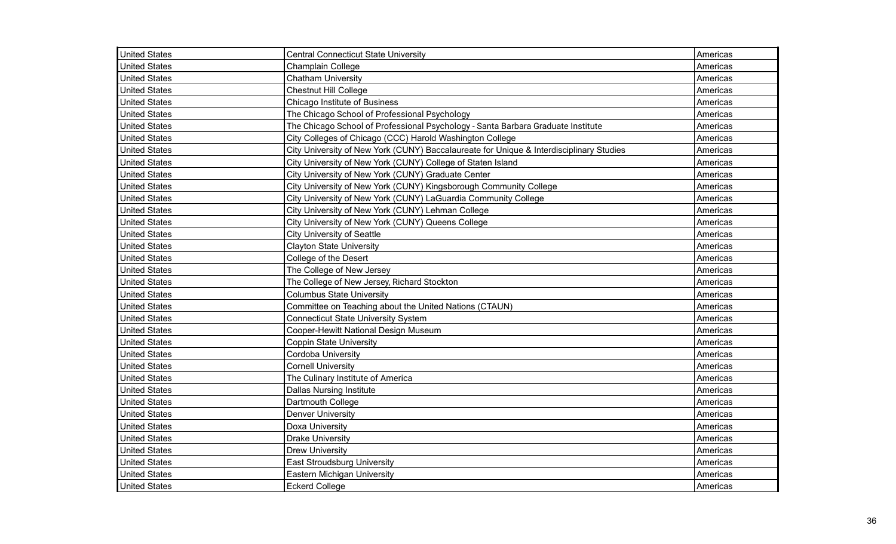| <b>United States</b> | <b>Central Connecticut State University</b>                                             | Americas |
|----------------------|-----------------------------------------------------------------------------------------|----------|
| <b>United States</b> | Champlain College                                                                       | Americas |
| <b>United States</b> | <b>Chatham University</b>                                                               | Americas |
| <b>United States</b> | <b>Chestnut Hill College</b>                                                            | Americas |
| <b>United States</b> | Chicago Institute of Business                                                           | Americas |
| <b>United States</b> | The Chicago School of Professional Psychology                                           | Americas |
| <b>United States</b> | The Chicago School of Professional Psychology - Santa Barbara Graduate Institute        | Americas |
| <b>United States</b> | City Colleges of Chicago (CCC) Harold Washington College                                | Americas |
| <b>United States</b> | City University of New York (CUNY) Baccalaureate for Unique & Interdisciplinary Studies | Americas |
| <b>United States</b> | City University of New York (CUNY) College of Staten Island                             | Americas |
| <b>United States</b> | City University of New York (CUNY) Graduate Center                                      | Americas |
| <b>United States</b> | City University of New York (CUNY) Kingsborough Community College                       | Americas |
| <b>United States</b> | City University of New York (CUNY) LaGuardia Community College                          | Americas |
| <b>United States</b> | City University of New York (CUNY) Lehman College                                       | Americas |
| <b>United States</b> | City University of New York (CUNY) Queens College                                       | Americas |
| <b>United States</b> | <b>City University of Seattle</b>                                                       | Americas |
| <b>United States</b> | <b>Clayton State University</b>                                                         | Americas |
| <b>United States</b> | College of the Desert                                                                   | Americas |
| <b>United States</b> | The College of New Jersey                                                               | Americas |
| <b>United States</b> | The College of New Jersey, Richard Stockton                                             | Americas |
| <b>United States</b> | <b>Columbus State University</b>                                                        | Americas |
| <b>United States</b> | Committee on Teaching about the United Nations (CTAUN)                                  | Americas |
| <b>United States</b> | <b>Connecticut State University System</b>                                              | Americas |
| <b>United States</b> | Cooper-Hewitt National Design Museum                                                    | Americas |
| <b>United States</b> | <b>Coppin State University</b>                                                          | Americas |
| <b>United States</b> | Cordoba University                                                                      | Americas |
| <b>United States</b> | <b>Cornell University</b>                                                               | Americas |
| <b>United States</b> | The Culinary Institute of America                                                       | Americas |
| <b>United States</b> | <b>Dallas Nursing Institute</b>                                                         | Americas |
| <b>United States</b> | Dartmouth College                                                                       | Americas |
| <b>United States</b> | <b>Denver University</b>                                                                | Americas |
| <b>United States</b> | Doxa University                                                                         | Americas |
| <b>United States</b> | <b>Drake University</b>                                                                 | Americas |
| <b>United States</b> | <b>Drew University</b>                                                                  | Americas |
| <b>United States</b> | <b>East Stroudsburg University</b>                                                      | Americas |
| <b>United States</b> | Eastern Michigan University                                                             | Americas |
| <b>United States</b> | <b>Eckerd College</b>                                                                   | Americas |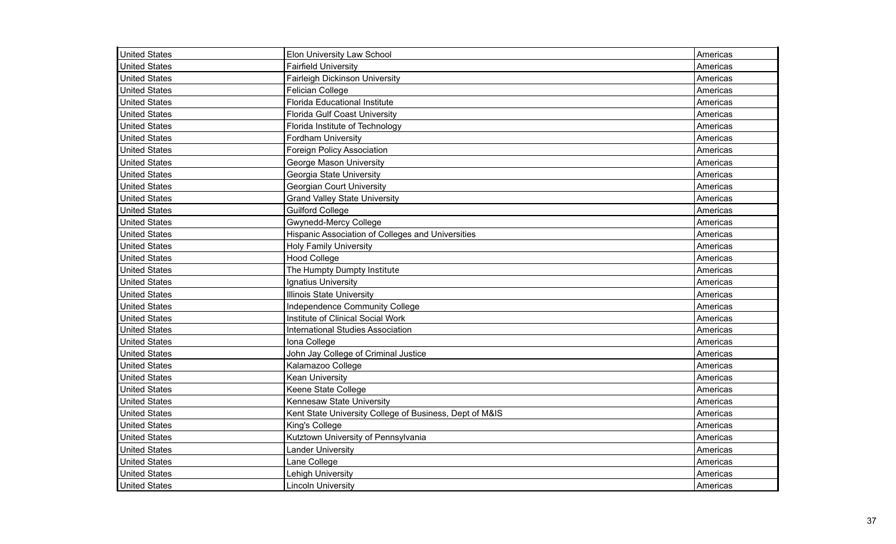| <b>United States</b> | Elon University Law School                              | Americas |
|----------------------|---------------------------------------------------------|----------|
| <b>United States</b> | <b>Fairfield University</b>                             | Americas |
| <b>United States</b> | Fairleigh Dickinson University                          | Americas |
| <b>United States</b> | <b>Felician College</b>                                 | Americas |
| <b>United States</b> | <b>Florida Educational Institute</b>                    | Americas |
| <b>United States</b> | Florida Gulf Coast University                           | Americas |
| <b>United States</b> | Florida Institute of Technology                         | Americas |
| <b>United States</b> | Fordham University                                      | Americas |
| <b>United States</b> | <b>Foreign Policy Association</b>                       | Americas |
| <b>United States</b> | George Mason University                                 | Americas |
| United States        | Georgia State University                                | Americas |
| <b>United States</b> | <b>Georgian Court University</b>                        | Americas |
| <b>United States</b> | <b>Grand Valley State University</b>                    | Americas |
| <b>United States</b> | <b>Guilford College</b>                                 | Americas |
| <b>United States</b> | <b>Gwynedd-Mercy College</b>                            | Americas |
| <b>United States</b> | Hispanic Association of Colleges and Universities       | Americas |
| <b>United States</b> | <b>Holy Family University</b>                           | Americas |
| <b>United States</b> | <b>Hood College</b>                                     | Americas |
| <b>United States</b> | The Humpty Dumpty Institute                             | Americas |
| <b>United States</b> | Ignatius University                                     | Americas |
| <b>United States</b> | <b>Illinois State University</b>                        | Americas |
| <b>United States</b> | Independence Community College                          | Americas |
| <b>United States</b> | Institute of Clinical Social Work                       | Americas |
| <b>United States</b> | International Studies Association                       | Americas |
| <b>United States</b> | Iona College                                            | Americas |
| <b>United States</b> | John Jay College of Criminal Justice                    | Americas |
| <b>United States</b> | Kalamazoo College                                       | Americas |
| <b>United States</b> | <b>Kean University</b>                                  | Americas |
| <b>United States</b> | Keene State College                                     | Americas |
| <b>United States</b> | Kennesaw State University                               | Americas |
| <b>United States</b> | Kent State University College of Business, Dept of M&IS | Americas |
| <b>United States</b> | King's College                                          | Americas |
| <b>United States</b> | Kutztown University of Pennsylvania                     | Americas |
| <b>United States</b> | <b>Lander University</b>                                | Americas |
| <b>United States</b> | Lane College                                            | Americas |
| <b>United States</b> | Lehigh University                                       | Americas |
| <b>United States</b> | <b>Lincoln University</b>                               | Americas |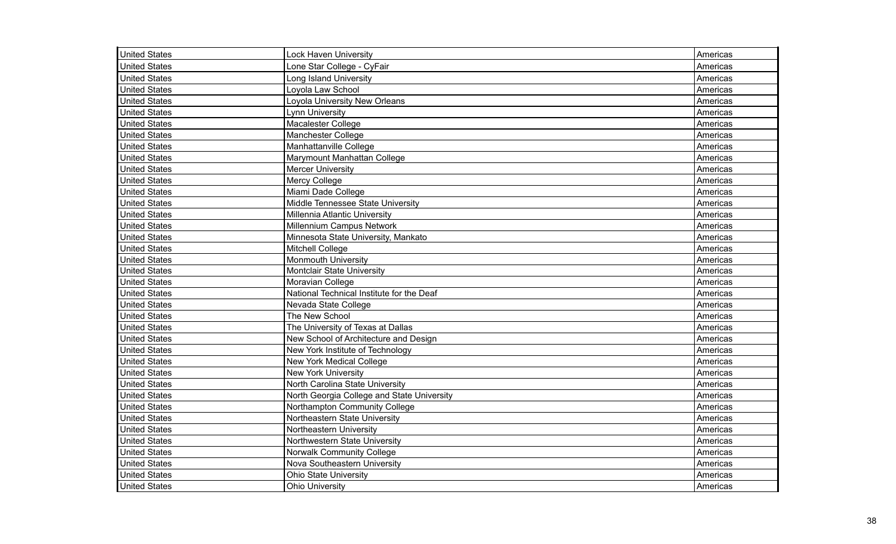| <b>United States</b> | <b>Lock Haven University</b>               | Americas |
|----------------------|--------------------------------------------|----------|
| <b>United States</b> | Lone Star College - CyFair                 | Americas |
| <b>United States</b> | Long Island University                     | Americas |
| <b>United States</b> | Loyola Law School                          | Americas |
| <b>United States</b> | Loyola University New Orleans              | Americas |
| <b>United States</b> | <b>Lynn University</b>                     | Americas |
| <b>United States</b> | Macalester College                         | Americas |
| <b>United States</b> | <b>Manchester College</b>                  | Americas |
| <b>United States</b> | Manhattanville College                     | Americas |
| <b>United States</b> | Marymount Manhattan College                | Americas |
| <b>United States</b> | <b>Mercer University</b>                   | Americas |
| <b>United States</b> | Mercy College                              | Americas |
| <b>United States</b> | Miami Dade College                         | Americas |
| <b>United States</b> | Middle Tennessee State University          | Americas |
| <b>United States</b> | Millennia Atlantic University              | Americas |
| <b>United States</b> | Millennium Campus Network                  | Americas |
| <b>United States</b> | Minnesota State University, Mankato        | Americas |
| <b>United States</b> | <b>Mitchell College</b>                    | Americas |
| <b>United States</b> | Monmouth University                        | Americas |
| <b>United States</b> | <b>Montclair State University</b>          | Americas |
| <b>United States</b> | Moravian College                           | Americas |
| United States        | National Technical Institute for the Deaf  | Americas |
| United States        | Nevada State College                       | Americas |
| <b>United States</b> | The New School                             | Americas |
| <b>United States</b> | The University of Texas at Dallas          | Americas |
| <b>United States</b> | New School of Architecture and Design      | Americas |
| <b>United States</b> | New York Institute of Technology           | Americas |
| <b>United States</b> | New York Medical College                   | Americas |
| <b>United States</b> | <b>New York University</b>                 | Americas |
| <b>United States</b> | North Carolina State University            | Americas |
| <b>United States</b> | North Georgia College and State University | Americas |
| United States        | Northampton Community College              | Americas |
| <b>United States</b> | Northeastern State University              | Americas |
| <b>United States</b> | Northeastern University                    | Americas |
| <b>United States</b> | Northwestern State University              | Americas |
| <b>United States</b> | Norwalk Community College                  | Americas |
| <b>United States</b> | Nova Southeastern University               | Americas |
| <b>United States</b> | <b>Ohio State University</b>               | Americas |
| <b>United States</b> | <b>Ohio University</b>                     | Americas |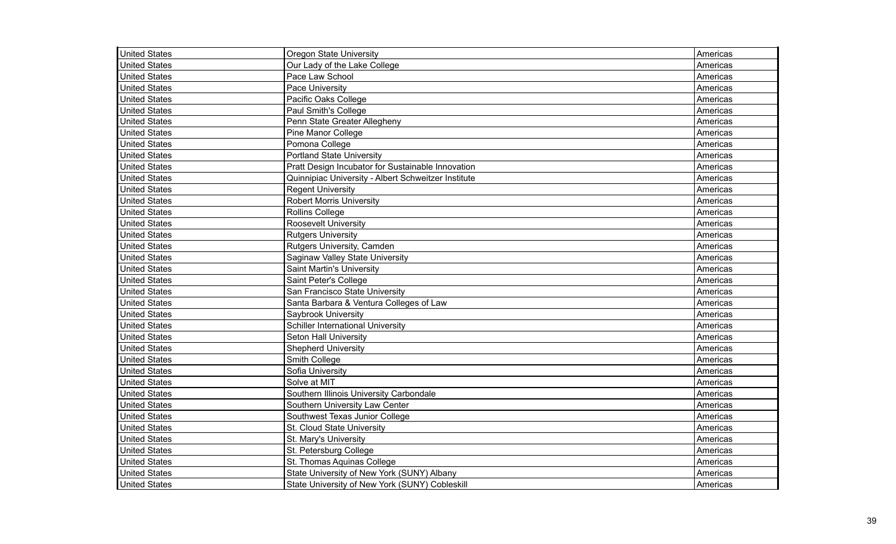| <b>United States</b> | <b>Oregon State University</b>                      | Americas |
|----------------------|-----------------------------------------------------|----------|
| <b>United States</b> | Our Lady of the Lake College                        | Americas |
| <b>United States</b> | Pace Law School                                     | Americas |
| <b>United States</b> | Pace University                                     | Americas |
| <b>United States</b> | Pacific Oaks College                                | Americas |
| <b>United States</b> | Paul Smith's College                                | Americas |
| <b>United States</b> | Penn State Greater Allegheny                        | Americas |
| <b>United States</b> | Pine Manor College                                  | Americas |
| <b>United States</b> | Pomona College                                      | Americas |
| <b>United States</b> | <b>Portland State University</b>                    | Americas |
| <b>United States</b> | Pratt Design Incubator for Sustainable Innovation   | Americas |
| <b>United States</b> | Quinnipiac University - Albert Schweitzer Institute | Americas |
| <b>United States</b> | <b>Regent University</b>                            | Americas |
| <b>United States</b> | Robert Morris University                            | Americas |
| <b>United States</b> | Rollins College                                     | Americas |
| <b>United States</b> | Roosevelt University                                | Americas |
| <b>United States</b> | <b>Rutgers University</b>                           | Americas |
| <b>United States</b> | Rutgers University, Camden                          | Americas |
| <b>United States</b> | Saginaw Valley State University                     | Americas |
| <b>United States</b> | <b>Saint Martin's University</b>                    | Americas |
| <b>United States</b> | Saint Peter's College                               | Americas |
| <b>United States</b> | San Francisco State University                      | Americas |
| <b>United States</b> | Santa Barbara & Ventura Colleges of Law             | Americas |
| <b>United States</b> | Saybrook University                                 | Americas |
| <b>United States</b> | <b>Schiller International University</b>            | Americas |
| <b>United States</b> | Seton Hall University                               | Americas |
| <b>United States</b> | <b>Shepherd University</b>                          | Americas |
| <b>United States</b> | Smith College                                       | Americas |
| <b>United States</b> | Sofia University                                    | Americas |
| <b>United States</b> | Solve at MIT                                        | Americas |
| <b>United States</b> | Southern Illinois University Carbondale             | Americas |
| <b>United States</b> | Southern University Law Center                      | Americas |
| <b>United States</b> | Southwest Texas Junior College                      | Americas |
| <b>United States</b> | St. Cloud State University                          | Americas |
| <b>United States</b> | St. Mary's University                               | Americas |
| <b>United States</b> | St. Petersburg College                              | Americas |
| <b>United States</b> | St. Thomas Aquinas College                          | Americas |
| <b>United States</b> | State University of New York (SUNY) Albany          | Americas |
| <b>United States</b> | State University of New York (SUNY) Cobleskill      | Americas |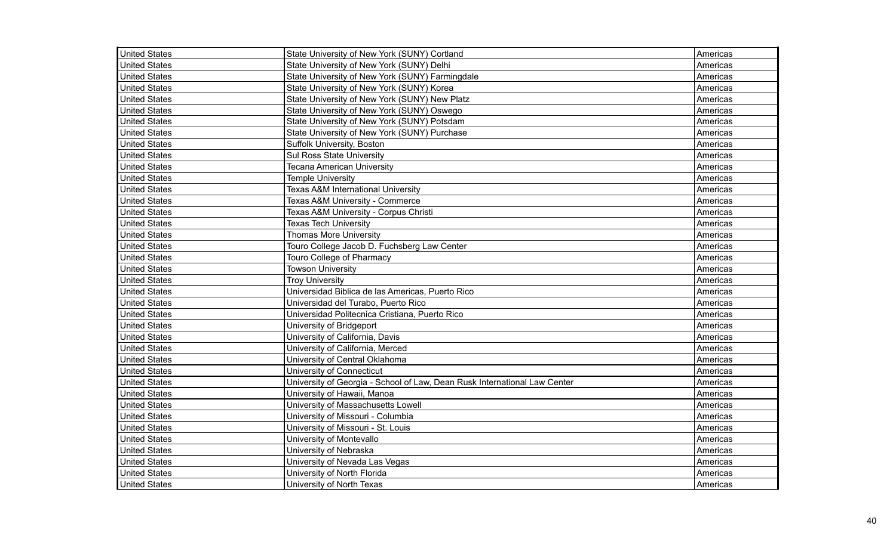| <b>United States</b> | State University of New York (SUNY) Cortland                              | Americas |
|----------------------|---------------------------------------------------------------------------|----------|
| <b>United States</b> | State University of New York (SUNY) Delhi                                 | Americas |
| <b>United States</b> | State University of New York (SUNY) Farmingdale                           | Americas |
| <b>United States</b> | State University of New York (SUNY) Korea                                 | Americas |
| <b>United States</b> | State University of New York (SUNY) New Platz                             | Americas |
| <b>United States</b> | State University of New York (SUNY) Oswego                                | Americas |
| <b>United States</b> | State University of New York (SUNY) Potsdam                               | Americas |
| <b>United States</b> | State University of New York (SUNY) Purchase                              | Americas |
| <b>United States</b> | Suffolk University, Boston                                                | Americas |
| <b>United States</b> | <b>Sul Ross State University</b>                                          | Americas |
| <b>United States</b> | <b>Tecana American University</b>                                         | Americas |
| <b>United States</b> | <b>Temple University</b>                                                  | Americas |
| <b>United States</b> | <b>Texas A&amp;M International University</b>                             | Americas |
| <b>United States</b> | Texas A&M University - Commerce                                           | Americas |
| <b>United States</b> | Texas A&M University - Corpus Christi                                     | Americas |
| <b>United States</b> | <b>Texas Tech University</b>                                              | Americas |
| <b>United States</b> | <b>Thomas More University</b>                                             | Americas |
| <b>United States</b> | Touro College Jacob D. Fuchsberg Law Center                               | Americas |
| <b>United States</b> | <b>Touro College of Pharmacy</b>                                          | Americas |
| <b>United States</b> | <b>Towson University</b>                                                  | Americas |
| <b>United States</b> | <b>Troy University</b>                                                    | Americas |
| <b>United States</b> | Universidad Biblica de las Americas, Puerto Rico                          | Americas |
| <b>United States</b> | Universidad del Turabo, Puerto Rico                                       | Americas |
| <b>United States</b> | Universidad Politecnica Cristiana, Puerto Rico                            | Americas |
| <b>United States</b> | University of Bridgeport                                                  | Americas |
| <b>United States</b> | University of California, Davis                                           | Americas |
| <b>United States</b> | University of California, Merced                                          | Americas |
| <b>United States</b> | University of Central Oklahoma                                            | Americas |
| <b>United States</b> | University of Connecticut                                                 | Americas |
| <b>United States</b> | University of Georgia - School of Law, Dean Rusk International Law Center | Americas |
| <b>United States</b> | University of Hawaii, Manoa                                               | Americas |
| <b>United States</b> | University of Massachusetts Lowell                                        | Americas |
| <b>United States</b> | University of Missouri - Columbia                                         | Americas |
| <b>United States</b> | University of Missouri - St. Louis                                        | Americas |
| <b>United States</b> | University of Montevallo                                                  | Americas |
| <b>United States</b> | University of Nebraska                                                    | Americas |
| <b>United States</b> | University of Nevada Las Vegas                                            | Americas |
| <b>United States</b> | University of North Florida                                               | Americas |
| <b>United States</b> | University of North Texas                                                 | Americas |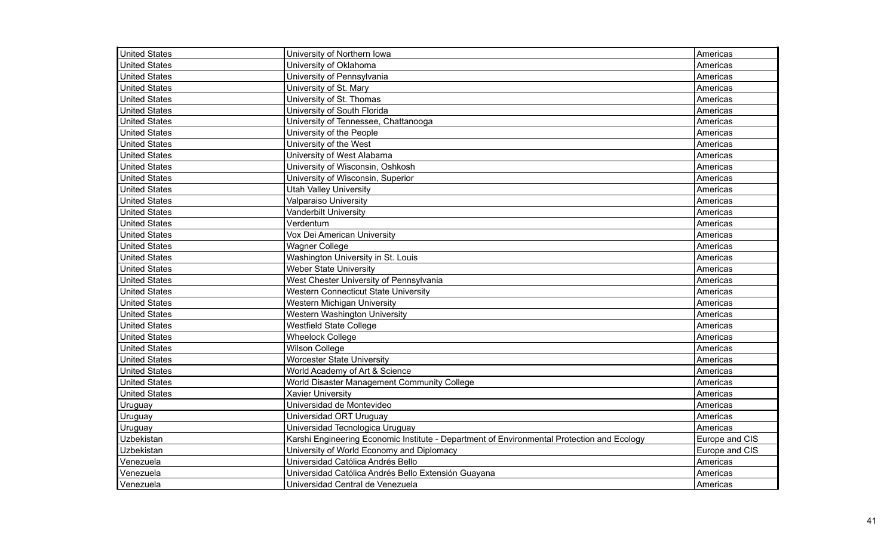| <b>United States</b> | University of Northern Iowa                                                                | Americas       |
|----------------------|--------------------------------------------------------------------------------------------|----------------|
| <b>United States</b> | University of Oklahoma                                                                     | Americas       |
| <b>United States</b> | University of Pennsylvania                                                                 | Americas       |
| United States        | University of St. Mary                                                                     | Americas       |
| <b>United States</b> | University of St. Thomas                                                                   | Americas       |
| <b>United States</b> | University of South Florida                                                                | Americas       |
| <b>United States</b> | University of Tennessee, Chattanooga                                                       | Americas       |
| <b>United States</b> | University of the People                                                                   | Americas       |
| <b>United States</b> | University of the West                                                                     | Americas       |
| <b>United States</b> | University of West Alabama                                                                 | Americas       |
| <b>United States</b> | University of Wisconsin, Oshkosh                                                           | Americas       |
| <b>United States</b> | University of Wisconsin, Superior                                                          | Americas       |
| <b>United States</b> | <b>Utah Valley University</b>                                                              | Americas       |
| <b>United States</b> | Valparaiso University                                                                      | Americas       |
| <b>United States</b> | Vanderbilt University                                                                      | Americas       |
| <b>United States</b> | Verdentum                                                                                  | Americas       |
| <b>United States</b> | Vox Dei American University                                                                | Americas       |
| <b>United States</b> | <b>Wagner College</b>                                                                      | Americas       |
| <b>United States</b> | Washington University in St. Louis                                                         | Americas       |
| <b>United States</b> | <b>Weber State University</b>                                                              | Americas       |
| <b>United States</b> | West Chester University of Pennsylvania                                                    | Americas       |
| <b>United States</b> | <b>Western Connecticut State University</b>                                                | Americas       |
| <b>United States</b> | <b>Western Michigan University</b>                                                         | Americas       |
| <b>United States</b> | Western Washington University                                                              | Americas       |
| <b>United States</b> | Westfield State College                                                                    | Americas       |
| <b>United States</b> | <b>Wheelock College</b>                                                                    | Americas       |
| <b>United States</b> | <b>Wilson College</b>                                                                      | Americas       |
| <b>United States</b> | <b>Worcester State University</b>                                                          | Americas       |
| <b>United States</b> | World Academy of Art & Science                                                             | Americas       |
| <b>United States</b> | World Disaster Management Community College                                                | Americas       |
| <b>United States</b> | <b>Xavier University</b>                                                                   | Americas       |
| Uruguay              | Universidad de Montevideo                                                                  | Americas       |
| Uruguay              | Universidad ORT Uruguay                                                                    | Americas       |
| Uruguay              | Universidad Tecnologica Uruguay                                                            | Americas       |
| Uzbekistan           | Karshi Engineering Economic Institute - Department of Environmental Protection and Ecology | Europe and CIS |
| Uzbekistan           | University of World Economy and Diplomacy                                                  | Europe and CIS |
| Venezuela            | Universidad Católica Andrés Bello                                                          | Americas       |
| Venezuela            | Universidad Católica Andrés Bello Extensión Guayana                                        | Americas       |
| Venezuela            | Universidad Central de Venezuela                                                           | Americas       |